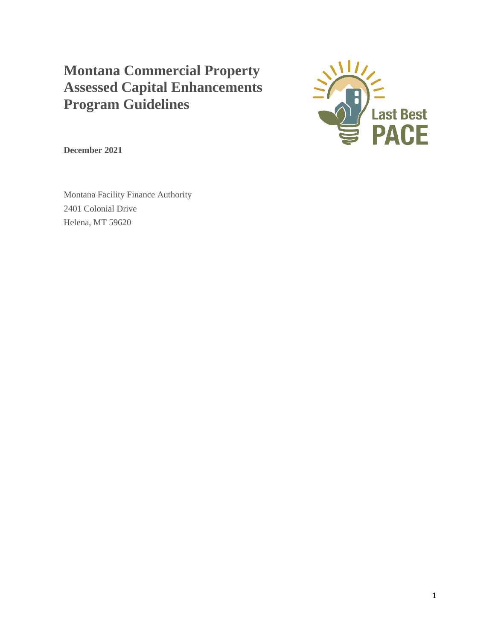# **Montana Commercial Property Assessed Capital Enhancements Program Guidelines**



**December 2021**

Montana Facility Finance Authority 2401 Colonial Drive Helena, MT 59620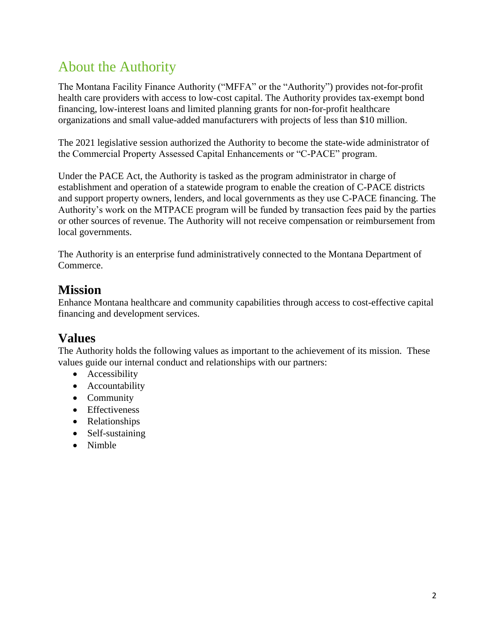# <span id="page-1-0"></span>About the Authority

The Montana Facility Finance Authority ("MFFA" or the "Authority") provides not-for-profit health care providers with access to low-cost capital. The Authority provides tax-exempt bond financing, low-interest loans and limited planning grants for non-for-profit healthcare organizations and small value-added manufacturers with projects of less than \$10 million.

The 2021 legislative session authorized the Authority to become the state-wide administrator of the Commercial Property Assessed Capital Enhancements or "C-PACE" program.

Under the PACE Act, the Authority is tasked as the program administrator in charge of establishment and operation of a statewide program to enable the creation of C-PACE districts and support property owners, lenders, and local governments as they use C-PACE financing. The Authority's work on the MTPACE program will be funded by transaction fees paid by the parties or other sources of revenue. The Authority will not receive compensation or reimbursement from local governments.

The Authority is an enterprise fund administratively connected to the Montana Department of Commerce.

### **Mission**

Enhance Montana healthcare and community capabilities through access to cost-effective capital financing and development services.

### **Values**

The Authority holds the following values as important to the achievement of its mission. These values guide our internal conduct and relationships with our partners:

- Accessibility
- Accountability
- Community
- Effectiveness
- Relationships
- Self-sustaining
- Nimble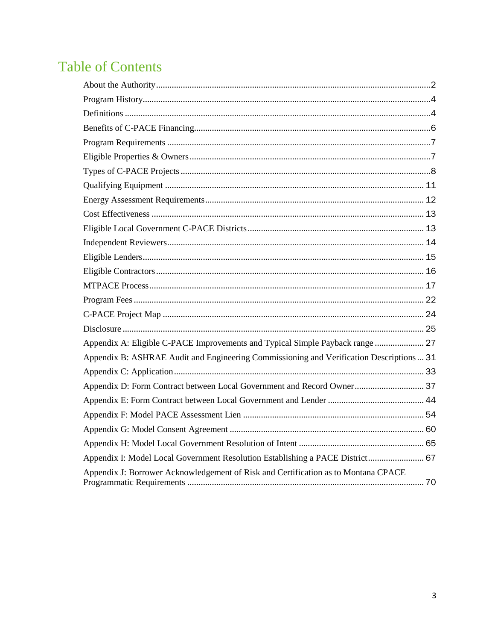# **Table of Contents**

| Appendix A: Eligible C-PACE Improvements and Typical Simple Payback range  27            |  |
|------------------------------------------------------------------------------------------|--|
| Appendix B: ASHRAE Audit and Engineering Commissioning and Verification Descriptions  31 |  |
|                                                                                          |  |
| Appendix D: Form Contract between Local Government and Record Owner 37                   |  |
|                                                                                          |  |
|                                                                                          |  |
|                                                                                          |  |
|                                                                                          |  |
| Appendix I: Model Local Government Resolution Establishing a PACE District 67            |  |
| Appendix J: Borrower Acknowledgement of Risk and Certification as to Montana CPACE       |  |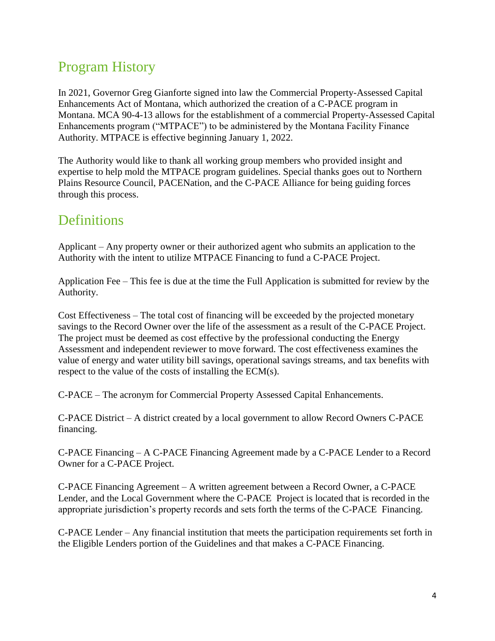# <span id="page-3-0"></span>Program History

In 2021, Governor Greg Gianforte signed into law the Commercial Property-Assessed Capital Enhancements Act of Montana, which authorized the creation of a C-PACE program in Montana. MCA 90-4-13 allows for the establishment of a commercial Property-Assessed Capital Enhancements program ("MTPACE") to be administered by the Montana Facility Finance Authority. MTPACE is effective beginning January 1, 2022.

The Authority would like to thank all working group members who provided insight and expertise to help mold the MTPACE program guidelines. Special thanks goes out to Northern Plains Resource Council, PACENation, and the C-PACE Alliance for being guiding forces through this process.

### <span id="page-3-1"></span>**Definitions**

Applicant – Any property owner or their authorized agent who submits an application to the Authority with the intent to utilize MTPACE Financing to fund a C-PACE Project.

Application Fee – This fee is due at the time the Full Application is submitted for review by the Authority.

Cost Effectiveness – The total cost of financing will be exceeded by the projected monetary savings to the Record Owner over the life of the assessment as a result of the C-PACE Project. The project must be deemed as cost effective by the professional conducting the Energy Assessment and independent reviewer to move forward. The cost effectiveness examines the value of energy and water utility bill savings, operational savings streams, and tax benefits with respect to the value of the costs of installing the ECM(s).

C-PACE – The acronym for Commercial Property Assessed Capital Enhancements.

C-PACE District – A district created by a local government to allow Record Owners C-PACE financing.

C-PACE Financing – A C-PACE Financing Agreement made by a C-PACE Lender to a Record Owner for a C-PACE Project.

C-PACE Financing Agreement – A written agreement between a Record Owner, a C-PACE Lender, and the Local Government where the C-PACE Project is located that is recorded in the appropriate jurisdiction's property records and sets forth the terms of the C-PACE Financing.

C-PACE Lender – Any financial institution that meets the participation requirements set forth in the Eligible Lenders portion of the Guidelines and that makes a C-PACE Financing.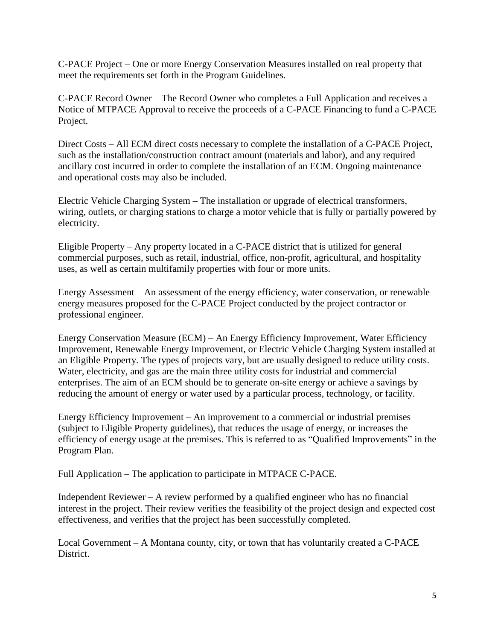C-PACE Project – One or more Energy Conservation Measures installed on real property that meet the requirements set forth in the Program Guidelines.

C-PACE Record Owner – The Record Owner who completes a Full Application and receives a Notice of MTPACE Approval to receive the proceeds of a C-PACE Financing to fund a C-PACE Project.

Direct Costs – All ECM direct costs necessary to complete the installation of a C-PACE Project, such as the installation/construction contract amount (materials and labor), and any required ancillary cost incurred in order to complete the installation of an ECM. Ongoing maintenance and operational costs may also be included.

Electric Vehicle Charging System – The installation or upgrade of electrical transformers, wiring, outlets, or charging stations to charge a motor vehicle that is fully or partially powered by electricity.

Eligible Property – Any property located in a C-PACE district that is utilized for general commercial purposes, such as retail, industrial, office, non-profit, agricultural, and hospitality uses, as well as certain multifamily properties with four or more units.

Energy Assessment – An assessment of the energy efficiency, water conservation, or renewable energy measures proposed for the C-PACE Project conducted by the project contractor or professional engineer.

Energy Conservation Measure (ECM) – An Energy Efficiency Improvement, Water Efficiency Improvement, Renewable Energy Improvement, or Electric Vehicle Charging System installed at an Eligible Property. The types of projects vary, but are usually designed to reduce utility costs. Water, electricity, and gas are the main three utility costs for industrial and commercial enterprises. The aim of an ECM should be to generate on-site energy or achieve a savings by reducing the amount of energy or water used by a particular process, technology, or facility.

Energy Efficiency Improvement – An improvement to a commercial or industrial premises (subject to Eligible Property guidelines), that reduces the usage of energy, or increases the efficiency of energy usage at the premises. This is referred to as "Qualified Improvements" in the Program Plan.

Full Application – The application to participate in MTPACE C-PACE.

Independent Reviewer – A review performed by a qualified engineer who has no financial interest in the project. Their review verifies the feasibility of the project design and expected cost effectiveness, and verifies that the project has been successfully completed.

Local Government – A Montana county, city, or town that has voluntarily created a C-PACE **District**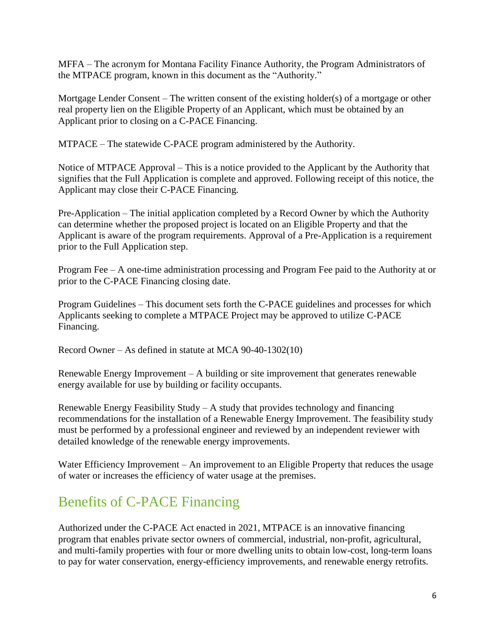MFFA – The acronym for Montana Facility Finance Authority, the Program Administrators of the MTPACE program, known in this document as the "Authority."

Mortgage Lender Consent – The written consent of the existing holder(s) of a mortgage or other real property lien on the Eligible Property of an Applicant, which must be obtained by an Applicant prior to closing on a C-PACE Financing.

MTPACE – The statewide C-PACE program administered by the Authority.

Notice of MTPACE Approval – This is a notice provided to the Applicant by the Authority that signifies that the Full Application is complete and approved. Following receipt of this notice, the Applicant may close their C-PACE Financing.

Pre-Application – The initial application completed by a Record Owner by which the Authority can determine whether the proposed project is located on an Eligible Property and that the Applicant is aware of the program requirements. Approval of a Pre-Application is a requirement prior to the Full Application step.

Program Fee – A one-time administration processing and Program Fee paid to the Authority at or prior to the C-PACE Financing closing date.

Program Guidelines – This document sets forth the C-PACE guidelines and processes for which Applicants seeking to complete a MTPACE Project may be approved to utilize C-PACE Financing.

Record Owner – As defined in statute at MCA 90-40-1302(10)

Renewable Energy Improvement – A building or site improvement that generates renewable energy available for use by building or facility occupants.

Renewable Energy Feasibility Study – A study that provides technology and financing recommendations for the installation of a Renewable Energy Improvement. The feasibility study must be performed by a professional engineer and reviewed by an independent reviewer with detailed knowledge of the renewable energy improvements.

Water Efficiency Improvement – An improvement to an Eligible Property that reduces the usage of water or increases the efficiency of water usage at the premises.

# <span id="page-5-0"></span>Benefits of C-PACE Financing

Authorized under the C-PACE Act enacted in 2021, MTPACE is an innovative financing program that enables private sector owners of commercial, industrial, non-profit, agricultural, and multi-family properties with four or more dwelling units to obtain low-cost, long-term loans to pay for water conservation, energy-efficiency improvements, and renewable energy retrofits.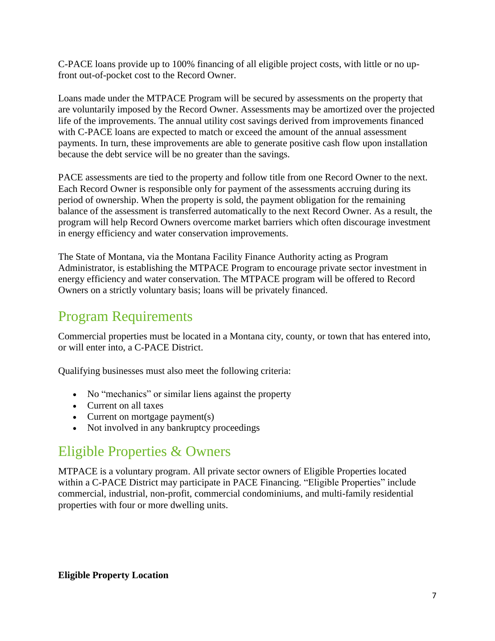C-PACE loans provide up to 100% financing of all eligible project costs, with little or no upfront out-of-pocket cost to the Record Owner.

Loans made under the MTPACE Program will be secured by assessments on the property that are voluntarily imposed by the Record Owner. Assessments may be amortized over the projected life of the improvements. The annual utility cost savings derived from improvements financed with C-PACE loans are expected to match or exceed the amount of the annual assessment payments. In turn, these improvements are able to generate positive cash flow upon installation because the debt service will be no greater than the savings.

PACE assessments are tied to the property and follow title from one Record Owner to the next. Each Record Owner is responsible only for payment of the assessments accruing during its period of ownership. When the property is sold, the payment obligation for the remaining balance of the assessment is transferred automatically to the next Record Owner. As a result, the program will help Record Owners overcome market barriers which often discourage investment in energy efficiency and water conservation improvements.

The State of Montana, via the Montana Facility Finance Authority acting as Program Administrator, is establishing the MTPACE Program to encourage private sector investment in energy efficiency and water conservation. The MTPACE program will be offered to Record Owners on a strictly voluntary basis; loans will be privately financed.

# <span id="page-6-0"></span>Program Requirements

Commercial properties must be located in a Montana city, county, or town that has entered into, or will enter into, a C-PACE District.

Qualifying businesses must also meet the following criteria:

- No "mechanics" or similar liens against the property
- Current on all taxes
- Current on mortgage payment(s)
- Not involved in any bankruptcy proceedings

### <span id="page-6-1"></span>Eligible Properties & Owners

MTPACE is a voluntary program. All private sector owners of Eligible Properties located within a C-PACE District may participate in PACE Financing. "Eligible Properties" include commercial, industrial, non-profit, commercial condominiums, and multi-family residential properties with four or more dwelling units.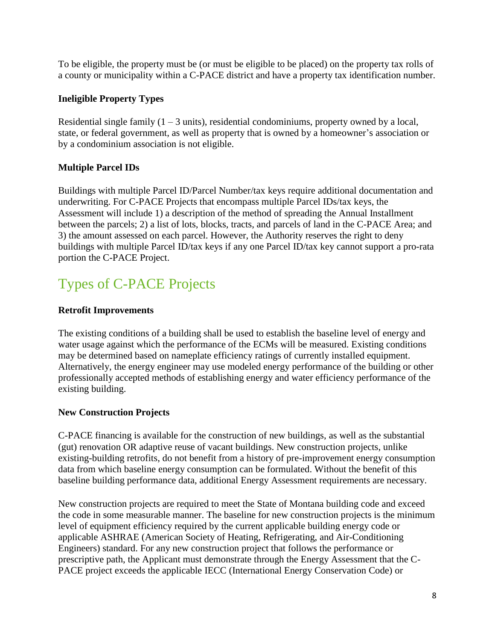To be eligible, the property must be (or must be eligible to be placed) on the property tax rolls of a county or municipality within a C-PACE district and have a property tax identification number.

#### **Ineligible Property Types**

Residential single family  $(1 – 3$  units), residential condominiums, property owned by a local, state, or federal government, as well as property that is owned by a homeowner's association or by a condominium association is not eligible.

#### **Multiple Parcel IDs**

Buildings with multiple Parcel ID/Parcel Number/tax keys require additional documentation and underwriting. For C-PACE Projects that encompass multiple Parcel IDs/tax keys, the Assessment will include 1) a description of the method of spreading the Annual Installment between the parcels; 2) a list of lots, blocks, tracts, and parcels of land in the C-PACE Area; and 3) the amount assessed on each parcel. However, the Authority reserves the right to deny buildings with multiple Parcel ID/tax keys if any one Parcel ID/tax key cannot support a pro-rata portion the C-PACE Project.

# <span id="page-7-0"></span>Types of C-PACE Projects

#### **Retrofit Improvements**

The existing conditions of a building shall be used to establish the baseline level of energy and water usage against which the performance of the ECMs will be measured. Existing conditions may be determined based on nameplate efficiency ratings of currently installed equipment. Alternatively, the energy engineer may use modeled energy performance of the building or other professionally accepted methods of establishing energy and water efficiency performance of the existing building.

#### **New Construction Projects**

C-PACE financing is available for the construction of new buildings, as well as the substantial (gut) renovation OR adaptive reuse of vacant buildings. New construction projects, unlike existing-building retrofits, do not benefit from a history of pre-improvement energy consumption data from which baseline energy consumption can be formulated. Without the benefit of this baseline building performance data, additional Energy Assessment requirements are necessary.

New construction projects are required to meet the State of Montana building code and exceed the code in some measurable manner. The baseline for new construction projects is the minimum level of equipment efficiency required by the current applicable building energy code or applicable ASHRAE (American Society of Heating, Refrigerating, and Air-Conditioning Engineers) standard. For any new construction project that follows the performance or prescriptive path, the Applicant must demonstrate through the Energy Assessment that the C-PACE project exceeds the applicable IECC (International Energy Conservation Code) or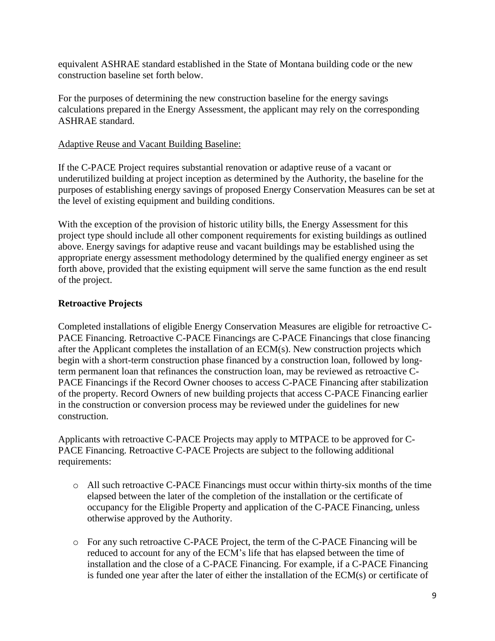equivalent ASHRAE standard established in the State of Montana building code or the new construction baseline set forth below.

For the purposes of determining the new construction baseline for the energy savings calculations prepared in the Energy Assessment, the applicant may rely on the corresponding ASHRAE standard.

#### Adaptive Reuse and Vacant Building Baseline:

If the C-PACE Project requires substantial renovation or adaptive reuse of a vacant or underutilized building at project inception as determined by the Authority, the baseline for the purposes of establishing energy savings of proposed Energy Conservation Measures can be set at the level of existing equipment and building conditions.

With the exception of the provision of historic utility bills, the Energy Assessment for this project type should include all other component requirements for existing buildings as outlined above. Energy savings for adaptive reuse and vacant buildings may be established using the appropriate energy assessment methodology determined by the qualified energy engineer as set forth above, provided that the existing equipment will serve the same function as the end result of the project.

#### **Retroactive Projects**

Completed installations of eligible Energy Conservation Measures are eligible for retroactive C-PACE Financing. Retroactive C-PACE Financings are C-PACE Financings that close financing after the Applicant completes the installation of an ECM(s). New construction projects which begin with a short-term construction phase financed by a construction loan, followed by longterm permanent loan that refinances the construction loan, may be reviewed as retroactive C-PACE Financings if the Record Owner chooses to access C-PACE Financing after stabilization of the property. Record Owners of new building projects that access C-PACE Financing earlier in the construction or conversion process may be reviewed under the guidelines for new construction.

Applicants with retroactive C-PACE Projects may apply to MTPACE to be approved for C-PACE Financing. Retroactive C-PACE Projects are subject to the following additional requirements:

- o All such retroactive C-PACE Financings must occur within thirty-six months of the time elapsed between the later of the completion of the installation or the certificate of occupancy for the Eligible Property and application of the C-PACE Financing, unless otherwise approved by the Authority.
- o For any such retroactive C-PACE Project, the term of the C-PACE Financing will be reduced to account for any of the ECM's life that has elapsed between the time of installation and the close of a C-PACE Financing. For example, if a C-PACE Financing is funded one year after the later of either the installation of the ECM(s) or certificate of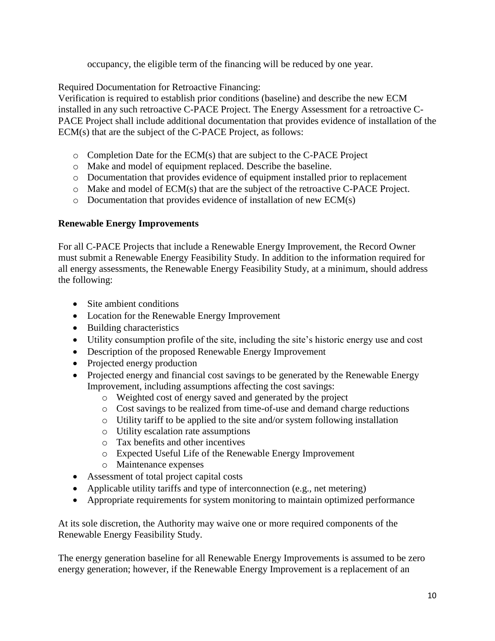occupancy, the eligible term of the financing will be reduced by one year.

Required Documentation for Retroactive Financing:

Verification is required to establish prior conditions (baseline) and describe the new ECM installed in any such retroactive C-PACE Project. The Energy Assessment for a retroactive C-PACE Project shall include additional documentation that provides evidence of installation of the ECM(s) that are the subject of the C-PACE Project, as follows:

- o Completion Date for the ECM(s) that are subject to the C-PACE Project
- o Make and model of equipment replaced. Describe the baseline.
- o Documentation that provides evidence of equipment installed prior to replacement
- $\circ$  Make and model of ECM(s) that are the subject of the retroactive C-PACE Project.
- o Documentation that provides evidence of installation of new ECM(s)

#### **Renewable Energy Improvements**

For all C-PACE Projects that include a Renewable Energy Improvement, the Record Owner must submit a Renewable Energy Feasibility Study. In addition to the information required for all energy assessments, the Renewable Energy Feasibility Study, at a minimum, should address the following:

- Site ambient conditions
- Location for the Renewable Energy Improvement
- Building characteristics
- Utility consumption profile of the site, including the site's historic energy use and cost
- Description of the proposed Renewable Energy Improvement
- Projected energy production
- Projected energy and financial cost savings to be generated by the Renewable Energy Improvement, including assumptions affecting the cost savings:
	- o Weighted cost of energy saved and generated by the project
	- o Cost savings to be realized from time-of-use and demand charge reductions
	- o Utility tariff to be applied to the site and/or system following installation
	- o Utility escalation rate assumptions
	- o Tax benefits and other incentives
	- o Expected Useful Life of the Renewable Energy Improvement
	- o Maintenance expenses
- Assessment of total project capital costs
- Applicable utility tariffs and type of interconnection (e.g., net metering)
- Appropriate requirements for system monitoring to maintain optimized performance

At its sole discretion, the Authority may waive one or more required components of the Renewable Energy Feasibility Study.

The energy generation baseline for all Renewable Energy Improvements is assumed to be zero energy generation; however, if the Renewable Energy Improvement is a replacement of an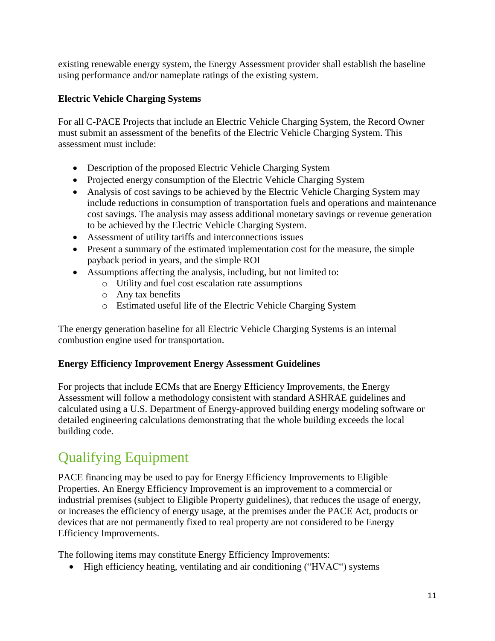existing renewable energy system, the Energy Assessment provider shall establish the baseline using performance and/or nameplate ratings of the existing system.

#### **Electric Vehicle Charging Systems**

For all C-PACE Projects that include an Electric Vehicle Charging System, the Record Owner must submit an assessment of the benefits of the Electric Vehicle Charging System. This assessment must include:

- Description of the proposed Electric Vehicle Charging System
- Projected energy consumption of the Electric Vehicle Charging System
- Analysis of cost savings to be achieved by the Electric Vehicle Charging System may include reductions in consumption of transportation fuels and operations and maintenance cost savings. The analysis may assess additional monetary savings or revenue generation to be achieved by the Electric Vehicle Charging System.
- Assessment of utility tariffs and interconnections issues
- Present a summary of the estimated implementation cost for the measure, the simple payback period in years, and the simple ROI
- Assumptions affecting the analysis, including, but not limited to:
	- o Utility and fuel cost escalation rate assumptions
	- o Any tax benefits
	- o Estimated useful life of the Electric Vehicle Charging System

The energy generation baseline for all Electric Vehicle Charging Systems is an internal combustion engine used for transportation.

#### **Energy Efficiency Improvement Energy Assessment Guidelines**

For projects that include ECMs that are Energy Efficiency Improvements, the Energy Assessment will follow a methodology consistent with standard ASHRAE guidelines and calculated using a U.S. Department of Energy-approved building energy modeling software or detailed engineering calculations demonstrating that the whole building exceeds the local building code.

# <span id="page-10-0"></span>Qualifying Equipment

PACE financing may be used to pay for Energy Efficiency Improvements to Eligible Properties. An Energy Efficiency Improvement is an improvement to a commercial or industrial premises (subject to Eligible Property guidelines), that reduces the usage of energy, or increases the efficiency of energy usage, at the premises *u*nder the PACE Act, products or devices that are not permanently fixed to real property are not considered to be Energy Efficiency Improvements.

The following items may constitute Energy Efficiency Improvements:

• High efficiency heating, ventilating and air conditioning ("HVAC") systems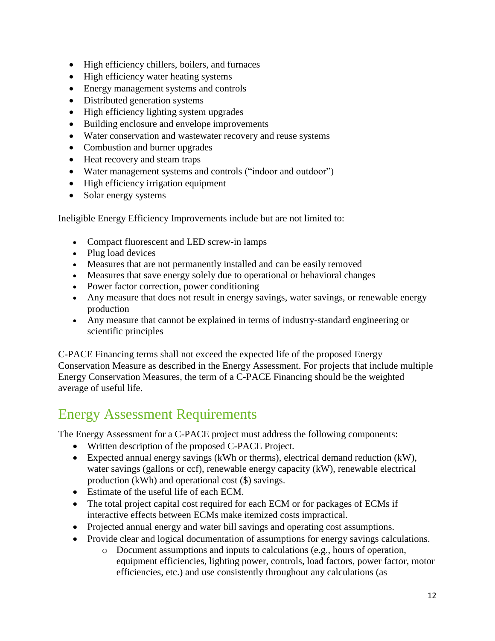- High efficiency chillers, boilers, and furnaces
- High efficiency water heating systems
- Energy management systems and controls
- Distributed generation systems
- High efficiency lighting system upgrades
- Building enclosure and envelope improvements
- Water conservation and wastewater recovery and reuse systems
- Combustion and burner upgrades
- Heat recovery and steam traps
- Water management systems and controls ("indoor and outdoor")
- High efficiency irrigation equipment
- Solar energy systems

Ineligible Energy Efficiency Improvements include but are not limited to:

- Compact fluorescent and LED screw-in lamps
- Plug load devices
- Measures that are not permanently installed and can be easily removed
- Measures that save energy solely due to operational or behavioral changes
- Power factor correction, power conditioning
- Any measure that does not result in energy savings, water savings, or renewable energy production
- Any measure that cannot be explained in terms of industry-standard engineering or scientific principles

C-PACE Financing terms shall not exceed the expected life of the proposed Energy Conservation Measure as described in the Energy Assessment. For projects that include multiple Energy Conservation Measures, the term of a C-PACE Financing should be the weighted average of useful life.

## <span id="page-11-0"></span>Energy Assessment Requirements

The Energy Assessment for a C-PACE project must address the following components:

- Written description of the proposed C-PACE Project.
- Expected annual energy savings (kWh or therms), electrical demand reduction (kW), water savings (gallons or ccf), renewable energy capacity (kW), renewable electrical production (kWh) and operational cost (\$) savings.
- Estimate of the useful life of each ECM.
- The total project capital cost required for each ECM or for packages of ECMs if interactive effects between ECMs make itemized costs impractical.
- Projected annual energy and water bill savings and operating cost assumptions.
- Provide clear and logical documentation of assumptions for energy savings calculations.
	- o Document assumptions and inputs to calculations (e.g., hours of operation, equipment efficiencies, lighting power, controls, load factors, power factor, motor efficiencies, etc.) and use consistently throughout any calculations (as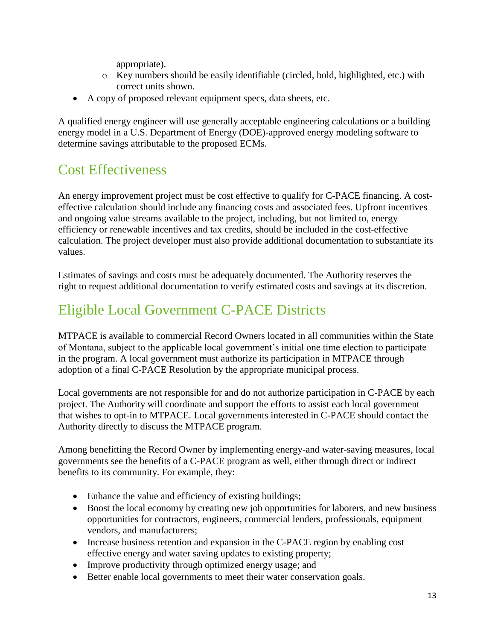appropriate).

- o Key numbers should be easily identifiable (circled, bold, highlighted, etc.) with correct units shown.
- A copy of proposed relevant equipment specs, data sheets, etc.

A qualified energy engineer will use generally acceptable engineering calculations or a building energy model in a U.S. Department of Energy (DOE)-approved energy modeling software to determine savings attributable to the proposed ECMs.

# <span id="page-12-0"></span>Cost Effectiveness

An energy improvement project must be cost effective to qualify for C-PACE financing. A costeffective calculation should include any financing costs and associated fees. Upfront incentives and ongoing value streams available to the project, including, but not limited to, energy efficiency or renewable incentives and tax credits, should be included in the cost-effective calculation. The project developer must also provide additional documentation to substantiate its values.

Estimates of savings and costs must be adequately documented. The Authority reserves the right to request additional documentation to verify estimated costs and savings at its discretion.

# <span id="page-12-1"></span>Eligible Local Government C-PACE Districts

MTPACE is available to commercial Record Owners located in all communities within the State of Montana, subject to the applicable local government's initial one time election to participate in the program. A local government must authorize its participation in MTPACE through adoption of a final C-PACE Resolution by the appropriate municipal process.

Local governments are not responsible for and do not authorize participation in C-PACE by each project. The Authority will coordinate and support the efforts to assist each local government that wishes to opt-in to MTPACE. Local governments interested in C-PACE should contact the Authority directly to discuss the MTPACE program.

Among benefitting the Record Owner by implementing energy-and water-saving measures, local governments see the benefits of a C-PACE program as well, either through direct or indirect benefits to its community. For example, they:

- Enhance the value and efficiency of existing buildings;
- Boost the local economy by creating new job opportunities for laborers, and new business opportunities for contractors, engineers, commercial lenders, professionals, equipment vendors, and manufacturers;
- Increase business retention and expansion in the C-PACE region by enabling cost effective energy and water saving updates to existing property;
- Improve productivity through optimized energy usage; and
- Better enable local governments to meet their water conservation goals.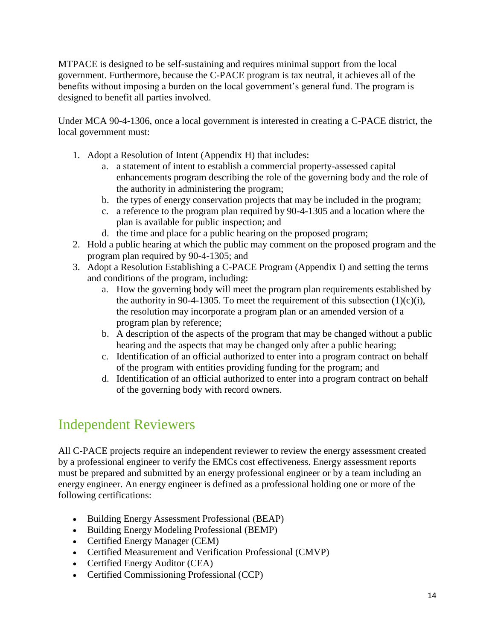MTPACE is designed to be self-sustaining and requires minimal support from the local government. Furthermore, because the C-PACE program is tax neutral, it achieves all of the benefits without imposing a burden on the local government's general fund. The program is designed to benefit all parties involved.

Under MCA 90-4-1306, once a local government is interested in creating a C-PACE district, the local government must:

- 1. Adopt a Resolution of Intent (Appendix H) that includes:
	- a. a statement of intent to establish a commercial property-assessed capital enhancements program describing the role of the governing body and the role of the authority in administering the program;
	- b. the types of energy conservation projects that may be included in the program;
	- c. a reference to the program plan required by 90-4-1305 and a location where the plan is available for public inspection; and
	- d. the time and place for a public hearing on the proposed program;
- 2. Hold a public hearing at which the public may comment on the proposed program and the program plan required by 90-4-1305; and
- 3. Adopt a Resolution Establishing a C-PACE Program (Appendix I) and setting the terms and conditions of the program, including:
	- a. How the governing body will meet the program plan requirements established by the authority in 90-4-1305. To meet the requirement of this subsection  $(1)(c)(i)$ , the resolution may incorporate a program plan or an amended version of a program plan by reference;
	- b. A description of the aspects of the program that may be changed without a public hearing and the aspects that may be changed only after a public hearing;
	- c. Identification of an official authorized to enter into a program contract on behalf of the program with entities providing funding for the program; and
	- d. Identification of an official authorized to enter into a program contract on behalf of the governing body with record owners.

# <span id="page-13-0"></span>Independent Reviewers

All C-PACE projects require an independent reviewer to review the energy assessment created by a professional engineer to verify the EMCs cost effectiveness. Energy assessment reports must be prepared and submitted by an energy professional engineer or by a team including an energy engineer. An energy engineer is defined as a professional holding one or more of the following certifications:

- Building Energy Assessment Professional (BEAP)
- Building Energy Modeling Professional (BEMP)
- Certified Energy Manager (CEM)
- Certified Measurement and Verification Professional (CMVP)
- Certified Energy Auditor (CEA)
- Certified Commissioning Professional (CCP)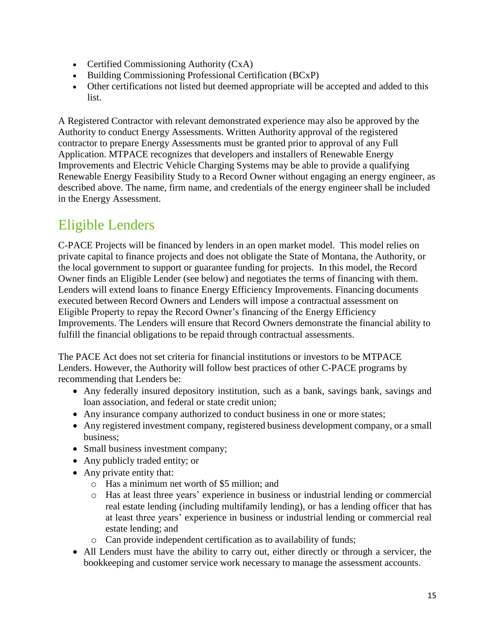- Certified Commissioning Authority (CxA)
- Building Commissioning Professional Certification (BCxP)
- Other certifications not listed but deemed appropriate will be accepted and added to this list.

A Registered Contractor with relevant demonstrated experience may also be approved by the Authority to conduct Energy Assessments. Written Authority approval of the registered contractor to prepare Energy Assessments must be granted prior to approval of any Full Application. MTPACE recognizes that developers and installers of Renewable Energy Improvements and Electric Vehicle Charging Systems may be able to provide a qualifying Renewable Energy Feasibility Study to a Record Owner without engaging an energy engineer, as described above. The name, firm name, and credentials of the energy engineer shall be included in the Energy Assessment.

## <span id="page-14-0"></span>Eligible Lenders

C-PACE Projects will be financed by lenders in an open market model. This model relies on private capital to finance projects and does not obligate the State of Montana, the Authority, or the local government to support or guarantee funding for projects. In this model, the Record Owner finds an Eligible Lender (see below) and negotiates the terms of financing with them. Lenders will extend loans to finance Energy Efficiency Improvements. Financing documents executed between Record Owners and Lenders will impose a contractual assessment on Eligible Property to repay the Record Owner's financing of the Energy Efficiency Improvements. The Lenders will ensure that Record Owners demonstrate the financial ability to fulfill the financial obligations to be repaid through contractual assessments.

The PACE Act does not set criteria for financial institutions or investors to be MTPACE Lenders. However, the Authority will follow best practices of other C-PACE programs by recommending that Lenders be:

- Any federally insured depository institution, such as a bank, savings bank, savings and loan association, and federal or state credit union;
- Any insurance company authorized to conduct business in one or more states;
- Any registered investment company, registered business development company, or a small business;
- Small business investment company;
- Any publicly traded entity; or
- Any private entity that:
	- o Has a minimum net worth of \$5 million; and
	- o Has at least three years' experience in business or industrial lending or commercial real estate lending (including multifamily lending), or has a lending officer that has at least three years' experience in business or industrial lending or commercial real estate lending; and
	- o Can provide independent certification as to availability of funds;
- All Lenders must have the ability to carry out, either directly or through a servicer, the bookkeeping and customer service work necessary to manage the assessment accounts.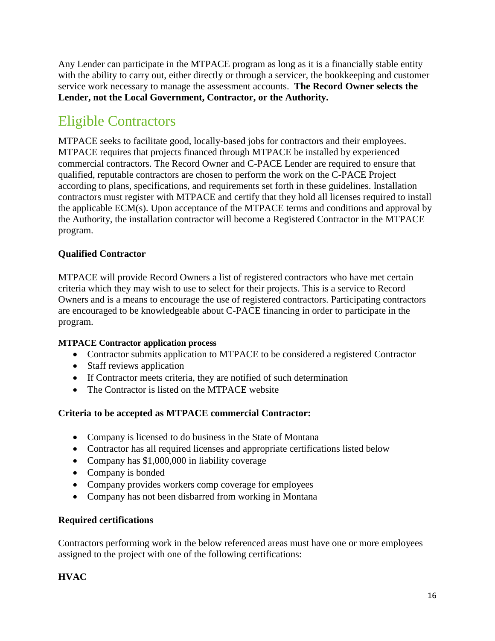Any Lender can participate in the MTPACE program as long as it is a financially stable entity with the ability to carry out, either directly or through a servicer, the bookkeeping and customer service work necessary to manage the assessment accounts. **The Record Owner selects the Lender, not the Local Government, Contractor, or the Authority.**

## <span id="page-15-0"></span>Eligible Contractors

MTPACE seeks to facilitate good, locally-based jobs for contractors and their employees. MTPACE requires that projects financed through MTPACE be installed by experienced commercial contractors. The Record Owner and C-PACE Lender are required to ensure that qualified, reputable contractors are chosen to perform the work on the C-PACE Project according to plans, specifications, and requirements set forth in these guidelines. Installation contractors must register with MTPACE and certify that they hold all licenses required to install the applicable ECM(s). Upon acceptance of the MTPACE terms and conditions and approval by the Authority, the installation contractor will become a Registered Contractor in the MTPACE program.

#### **Qualified Contractor**

MTPACE will provide Record Owners a list of registered contractors who have met certain criteria which they may wish to use to select for their projects. This is a service to Record Owners and is a means to encourage the use of registered contractors. Participating contractors are encouraged to be knowledgeable about C-PACE financing in order to participate in the program.

#### **MTPACE Contractor application process**

- Contractor submits application to MTPACE to be considered a registered Contractor
- Staff reviews application
- If Contractor meets criteria, they are notified of such determination
- The Contractor is listed on the MTPACE website

#### **Criteria to be accepted as MTPACE commercial Contractor:**

- Company is licensed to do business in the State of Montana
- Contractor has all required licenses and appropriate certifications listed below
- Company has \$1,000,000 in liability coverage
- Company is bonded
- Company provides workers comp coverage for employees
- Company has not been disbarred from working in Montana

#### **Required certifications**

Contractors performing work in the below referenced areas must have one or more employees assigned to the project with one of the following certifications:

#### **HVAC**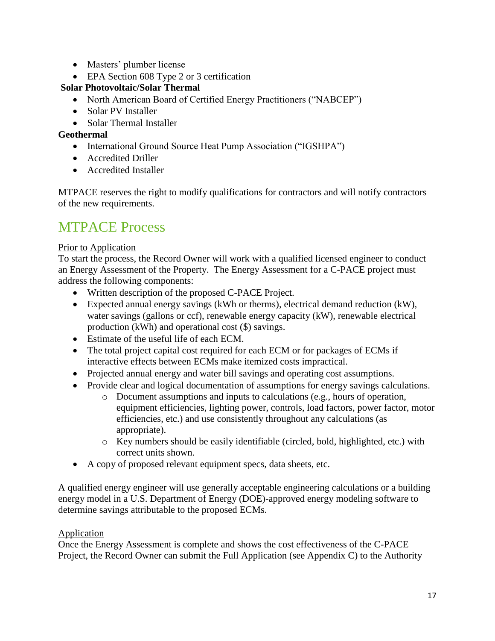- Masters' plumber license
- EPA Section 608 Type 2 or 3 certification

#### **Solar Photovoltaic/Solar Thermal**

- North American Board of Certified Energy Practitioners ("NABCEP")
- Solar PV Installer
- Solar Thermal Installer

#### **Geothermal**

- International Ground Source Heat Pump Association ("IGSHPA")
- Accredited Driller
- Accredited Installer

MTPACE reserves the right to modify qualifications for contractors and will notify contractors of the new requirements.

## <span id="page-16-0"></span>MTPACE Process

#### Prior to Application

To start the process, the Record Owner will work with a qualified licensed engineer to conduct an Energy Assessment of the Property. The Energy Assessment for a C-PACE project must address the following components:

- Written description of the proposed C-PACE Project.
- Expected annual energy savings (kWh or therms), electrical demand reduction (kW), water savings (gallons or ccf), renewable energy capacity (kW), renewable electrical production (kWh) and operational cost (\$) savings.
- Estimate of the useful life of each ECM.
- The total project capital cost required for each ECM or for packages of ECMs if interactive effects between ECMs make itemized costs impractical.
- Projected annual energy and water bill savings and operating cost assumptions.
- Provide clear and logical documentation of assumptions for energy savings calculations.
	- o Document assumptions and inputs to calculations (e.g., hours of operation, equipment efficiencies, lighting power, controls, load factors, power factor, motor efficiencies, etc.) and use consistently throughout any calculations (as appropriate).
	- o Key numbers should be easily identifiable (circled, bold, highlighted, etc.) with correct units shown.
- A copy of proposed relevant equipment specs, data sheets, etc.

A qualified energy engineer will use generally acceptable engineering calculations or a building energy model in a U.S. Department of Energy (DOE)-approved energy modeling software to determine savings attributable to the proposed ECMs.

#### **Application**

Once the Energy Assessment is complete and shows the cost effectiveness of the C-PACE Project, the Record Owner can submit the Full Application (see Appendix C) to the Authority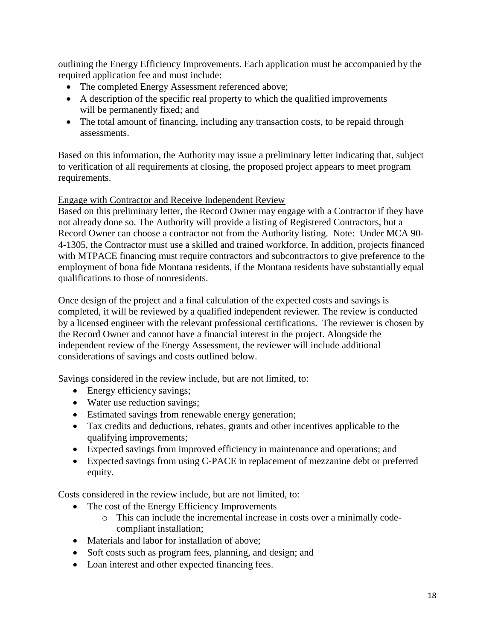outlining the Energy Efficiency Improvements. Each application must be accompanied by the required application fee and must include:

- The completed Energy Assessment referenced above;
- A description of the specific real property to which the qualified improvements will be permanently fixed; and
- The total amount of financing, including any transaction costs, to be repaid through assessments.

Based on this information, the Authority may issue a preliminary letter indicating that, subject to verification of all requirements at closing, the proposed project appears to meet program requirements.

#### Engage with Contractor and Receive Independent Review

Based on this preliminary letter, the Record Owner may engage with a Contractor if they have not already done so. The Authority will provide a listing of Registered Contractors, but a Record Owner can choose a contractor not from the Authority listing. Note: Under MCA 90- 4-1305, the Contractor must use a skilled and trained workforce. In addition, projects financed with MTPACE financing must require contractors and subcontractors to give preference to the employment of bona fide Montana residents, if the Montana residents have substantially equal qualifications to those of nonresidents.

Once design of the project and a final calculation of the expected costs and savings is completed, it will be reviewed by a qualified independent reviewer. The review is conducted by a licensed engineer with the relevant professional certifications. The reviewer is chosen by the Record Owner and cannot have a financial interest in the project. Alongside the independent review of the Energy Assessment, the reviewer will include additional considerations of savings and costs outlined below.

Savings considered in the review include, but are not limited, to:

- Energy efficiency savings;
- Water use reduction savings;
- Estimated savings from renewable energy generation;
- Tax credits and deductions, rebates, grants and other incentives applicable to the qualifying improvements;
- Expected savings from improved efficiency in maintenance and operations; and
- Expected savings from using C-PACE in replacement of mezzanine debt or preferred equity.

Costs considered in the review include, but are not limited, to:

- The cost of the Energy Efficiency Improvements
	- o This can include the incremental increase in costs over a minimally codecompliant installation;
- Materials and labor for installation of above;
- Soft costs such as program fees, planning, and design; and
- Loan interest and other expected financing fees.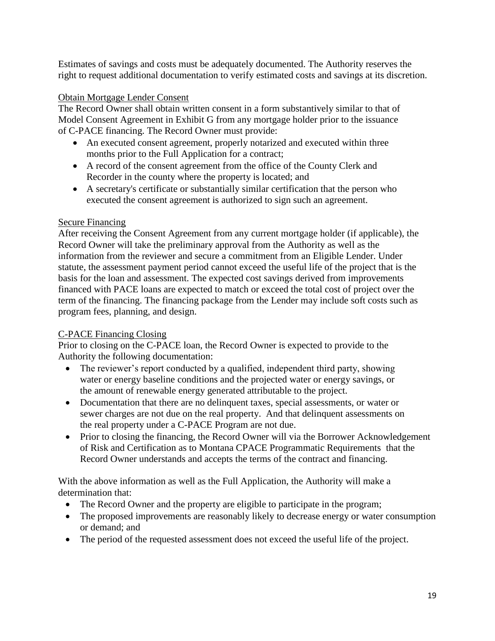Estimates of savings and costs must be adequately documented. The Authority reserves the right to request additional documentation to verify estimated costs and savings at its discretion.

#### Obtain Mortgage Lender Consent

The Record Owner shall obtain written consent in a form substantively similar to that of Model Consent Agreement in Exhibit G from any mortgage holder prior to the issuance of C-PACE financing. The Record Owner must provide:

- An executed consent agreement, properly notarized and executed within three months prior to the Full Application for a contract;
- A record of the consent agreement from the office of the County Clerk and Recorder in the county where the property is located; and
- A secretary's certificate or substantially similar certification that the person who executed the consent agreement is authorized to sign such an agreement.

#### Secure Financing

After receiving the Consent Agreement from any current mortgage holder (if applicable), the Record Owner will take the preliminary approval from the Authority as well as the information from the reviewer and secure a commitment from an Eligible Lender. Under statute, the assessment payment period cannot exceed the useful life of the project that is the basis for the loan and assessment. The expected cost savings derived from improvements financed with PACE loans are expected to match or exceed the total cost of project over the term of the financing. The financing package from the Lender may include soft costs such as program fees, planning, and design.

#### C-PACE Financing Closing

Prior to closing on the C-PACE loan, the Record Owner is expected to provide to the Authority the following documentation:

- The reviewer's report conducted by a qualified, independent third party, showing water or energy baseline conditions and the projected water or energy savings, or the amount of renewable energy generated attributable to the project.
- Documentation that there are no delinquent taxes, special assessments, or water or sewer charges are not due on the real property. And that delinquent assessments on the real property under a C-PACE Program are not due.
- Prior to closing the financing, the Record Owner will via the Borrower Acknowledgement of Risk and Certification as to Montana CPACE Programmatic Requirements that the Record Owner understands and accepts the terms of the contract and financing.

With the above information as well as the Full Application, the Authority will make a determination that:

- The Record Owner and the property are eligible to participate in the program;
- The proposed improvements are reasonably likely to decrease energy or water consumption or demand; and
- The period of the requested assessment does not exceed the useful life of the project.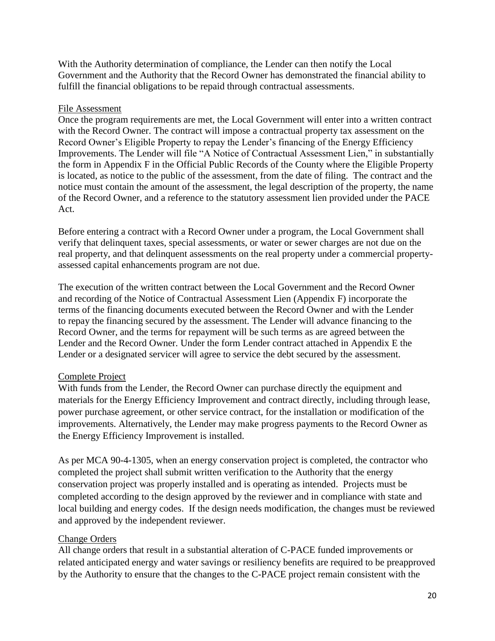With the Authority determination of compliance, the Lender can then notify the Local Government and the Authority that the Record Owner has demonstrated the financial ability to fulfill the financial obligations to be repaid through contractual assessments.

#### File Assessment

Once the program requirements are met, the Local Government will enter into a written contract with the Record Owner. The contract will impose a contractual property tax assessment on the Record Owner's Eligible Property to repay the Lender's financing of the Energy Efficiency Improvements. The Lender will file "A Notice of Contractual Assessment Lien," in substantially the form in Appendix F in the Official Public Records of the County where the Eligible Property is located, as notice to the public of the assessment, from the date of filing. The contract and the notice must contain the amount of the assessment, the legal description of the property, the name of the Record Owner, and a reference to the statutory assessment lien provided under the PACE Act.

Before entering a contract with a Record Owner under a program, the Local Government shall verify that delinquent taxes, special assessments, or water or sewer charges are not due on the real property, and that delinquent assessments on the real property under a commercial propertyassessed capital enhancements program are not due.

The execution of the written contract between the Local Government and the Record Owner and recording of the Notice of Contractual Assessment Lien (Appendix F) incorporate the terms of the financing documents executed between the Record Owner and with the Lender to repay the financing secured by the assessment. The Lender will advance financing to the Record Owner, and the terms for repayment will be such terms as are agreed between the Lender and the Record Owner. Under the form Lender contract attached in Appendix E the Lender or a designated servicer will agree to service the debt secured by the assessment.

#### Complete Project

With funds from the Lender, the Record Owner can purchase directly the equipment and materials for the Energy Efficiency Improvement and contract directly, including through lease, power purchase agreement, or other service contract, for the installation or modification of the improvements. Alternatively, the Lender may make progress payments to the Record Owner as the Energy Efficiency Improvement is installed.

As per MCA 90-4-1305, when an energy conservation project is completed, the contractor who completed the project shall submit written verification to the Authority that the energy conservation project was properly installed and is operating as intended. Projects must be completed according to the design approved by the reviewer and in compliance with state and local building and energy codes. If the design needs modification, the changes must be reviewed and approved by the independent reviewer.

#### Change Orders

All change orders that result in a substantial alteration of C-PACE funded improvements or related anticipated energy and water savings or resiliency benefits are required to be preapproved by the Authority to ensure that the changes to the C-PACE project remain consistent with the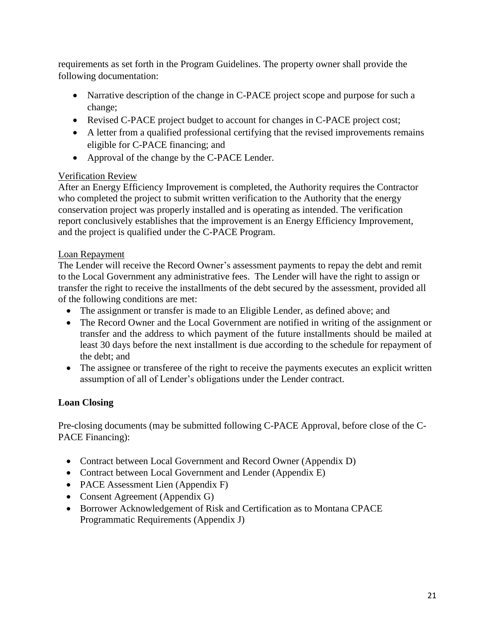requirements as set forth in the Program Guidelines. The property owner shall provide the following documentation:

- Narrative description of the change in C-PACE project scope and purpose for such a change;
- Revised C-PACE project budget to account for changes in C-PACE project cost;
- A letter from a qualified professional certifying that the revised improvements remains eligible for C-PACE financing; and
- Approval of the change by the C-PACE Lender.

#### Verification Review

After an Energy Efficiency Improvement is completed, the Authority requires the Contractor who completed the project to submit written verification to the Authority that the energy conservation project was properly installed and is operating as intended. The verification report conclusively establishes that the improvement is an Energy Efficiency Improvement, and the project is qualified under the C-PACE Program.

#### Loan Repayment

The Lender will receive the Record Owner's assessment payments to repay the debt and remit to the Local Government any administrative fees. The Lender will have the right to assign or transfer the right to receive the installments of the debt secured by the assessment, provided all of the following conditions are met:

- The assignment or transfer is made to an Eligible Lender, as defined above; and
- The Record Owner and the Local Government are notified in writing of the assignment or transfer and the address to which payment of the future installments should be mailed at least 30 days before the next installment is due according to the schedule for repayment of the debt; and
- The assignee or transferee of the right to receive the payments executes an explicit written assumption of all of Lender's obligations under the Lender contract.

#### **Loan Closing**

Pre-closing documents (may be submitted following C-PACE Approval, before close of the C-PACE Financing):

- Contract between Local Government and Record Owner (Appendix D)
- Contract between Local Government and Lender (Appendix E)
- PACE Assessment Lien (Appendix F)
- Consent Agreement (Appendix G)
- Borrower Acknowledgement of Risk and Certification as to Montana CPACE Programmatic Requirements (Appendix J)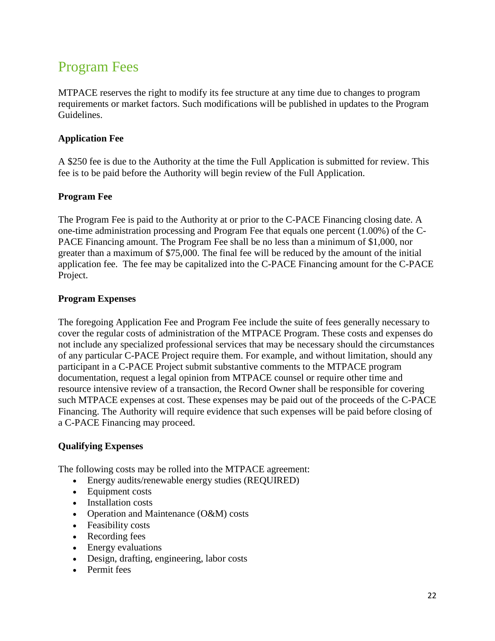# <span id="page-21-0"></span>Program Fees

MTPACE reserves the right to modify its fee structure at any time due to changes to program requirements or market factors. Such modifications will be published in updates to the Program Guidelines.

#### **Application Fee**

A \$250 fee is due to the Authority at the time the Full Application is submitted for review. This fee is to be paid before the Authority will begin review of the Full Application.

#### **Program Fee**

The Program Fee is paid to the Authority at or prior to the C-PACE Financing closing date. A one-time administration processing and Program Fee that equals one percent (1.00%) of the C-PACE Financing amount. The Program Fee shall be no less than a minimum of \$1,000, nor greater than a maximum of \$75,000. The final fee will be reduced by the amount of the initial application fee. The fee may be capitalized into the C-PACE Financing amount for the C-PACE Project.

#### **Program Expenses**

The foregoing Application Fee and Program Fee include the suite of fees generally necessary to cover the regular costs of administration of the MTPACE Program. These costs and expenses do not include any specialized professional services that may be necessary should the circumstances of any particular C-PACE Project require them. For example, and without limitation, should any participant in a C-PACE Project submit substantive comments to the MTPACE program documentation, request a legal opinion from MTPACE counsel or require other time and resource intensive review of a transaction, the Record Owner shall be responsible for covering such MTPACE expenses at cost. These expenses may be paid out of the proceeds of the C-PACE Financing. The Authority will require evidence that such expenses will be paid before closing of a C-PACE Financing may proceed.

#### **Qualifying Expenses**

The following costs may be rolled into the MTPACE agreement:

- Energy audits/renewable energy studies (REQUIRED)
- Equipment costs
- Installation costs
- Operation and Maintenance (O&M) costs
- Feasibility costs
- Recording fees
- Energy evaluations
- Design, drafting, engineering, labor costs
- Permit fees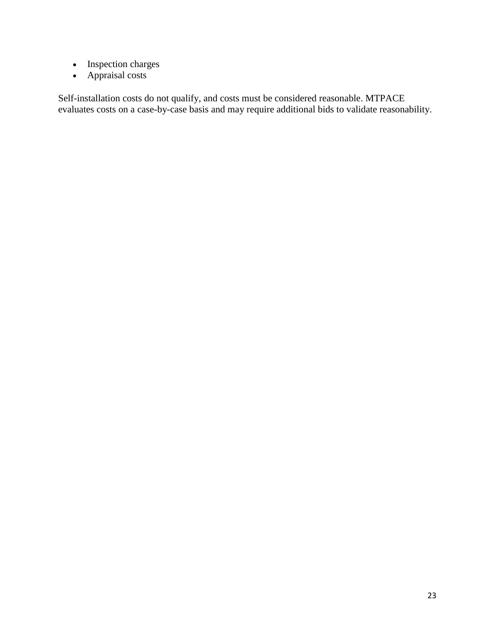- Inspection charges
- Appraisal costs

Self-installation costs do not qualify, and costs must be considered reasonable. MTPACE evaluates costs on a case-by-case basis and may require additional bids to validate reasonability.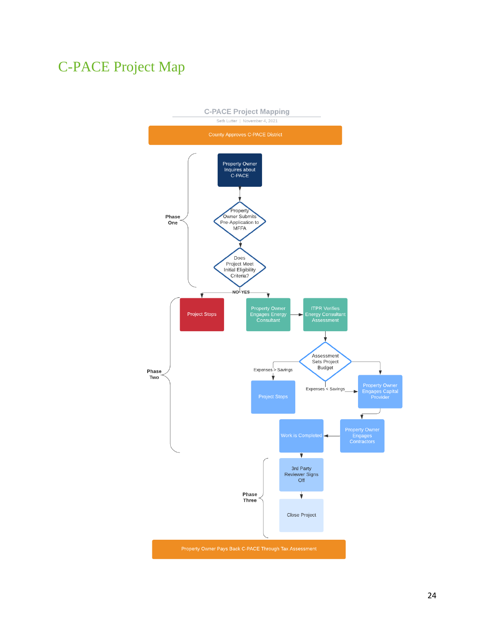# <span id="page-23-0"></span>C-PACE Project Map

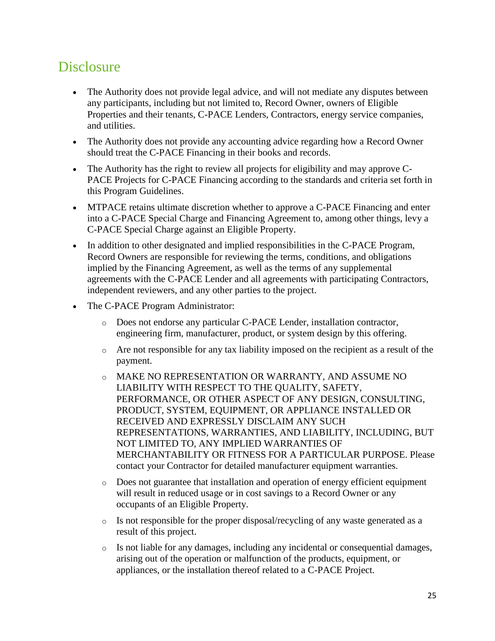# <span id="page-24-0"></span>**Disclosure**

- The Authority does not provide legal advice, and will not mediate any disputes between any participants, including but not limited to, Record Owner, owners of Eligible Properties and their tenants, C-PACE Lenders, Contractors, energy service companies, and utilities.
- The Authority does not provide any accounting advice regarding how a Record Owner should treat the C-PACE Financing in their books and records.
- The Authority has the right to review all projects for eligibility and may approve C-PACE Projects for C-PACE Financing according to the standards and criteria set forth in this Program Guidelines.
- MTPACE retains ultimate discretion whether to approve a C-PACE Financing and enter into a C-PACE Special Charge and Financing Agreement to, among other things, levy a C-PACE Special Charge against an Eligible Property.
- In addition to other designated and implied responsibilities in the C-PACE Program, Record Owners are responsible for reviewing the terms, conditions, and obligations implied by the Financing Agreement, as well as the terms of any supplemental agreements with the C-PACE Lender and all agreements with participating Contractors, independent reviewers, and any other parties to the project.
- The C-PACE Program Administrator:
	- o Does not endorse any particular C-PACE Lender, installation contractor, engineering firm, manufacturer, product, or system design by this offering.
	- $\circ$  Are not responsible for any tax liability imposed on the recipient as a result of the payment.
	- o MAKE NO REPRESENTATION OR WARRANTY, AND ASSUME NO LIABILITY WITH RESPECT TO THE QUALITY, SAFETY, PERFORMANCE, OR OTHER ASPECT OF ANY DESIGN, CONSULTING, PRODUCT, SYSTEM, EQUIPMENT, OR APPLIANCE INSTALLED OR RECEIVED AND EXPRESSLY DISCLAIM ANY SUCH REPRESENTATIONS, WARRANTIES, AND LIABILITY, INCLUDING, BUT NOT LIMITED TO, ANY IMPLIED WARRANTIES OF MERCHANTABILITY OR FITNESS FOR A PARTICULAR PURPOSE. Please contact your Contractor for detailed manufacturer equipment warranties.
	- o Does not guarantee that installation and operation of energy efficient equipment will result in reduced usage or in cost savings to a Record Owner or any occupants of an Eligible Property.
	- o Is not responsible for the proper disposal/recycling of any waste generated as a result of this project.
	- o Is not liable for any damages, including any incidental or consequential damages, arising out of the operation or malfunction of the products, equipment, or appliances, or the installation thereof related to a C-PACE Project.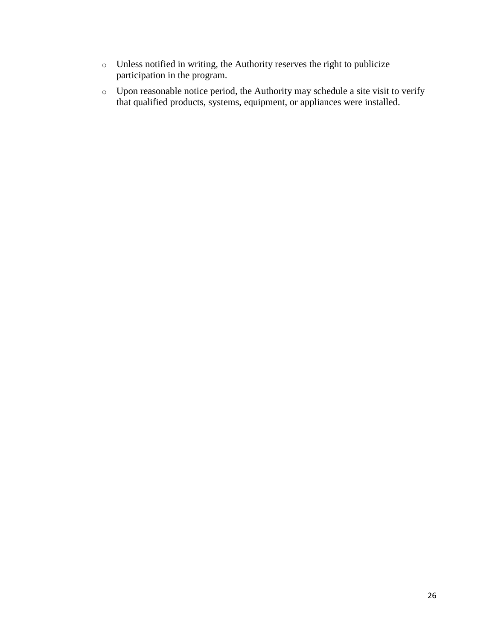- o Unless notified in writing, the Authority reserves the right to publicize participation in the program.
- o Upon reasonable notice period, the Authority may schedule a site visit to verify that qualified products, systems, equipment, or appliances were installed.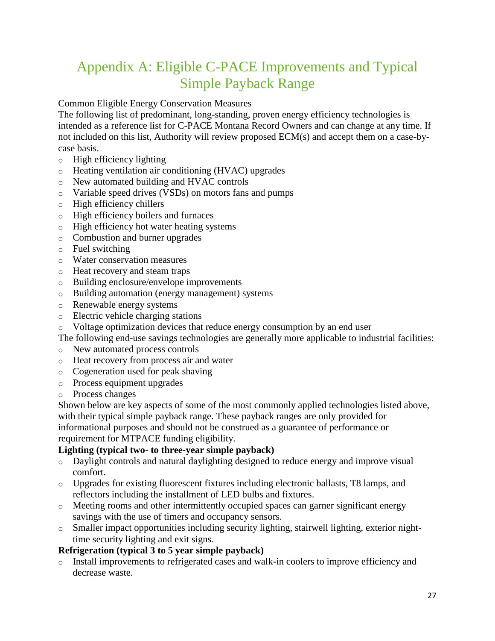# <span id="page-26-0"></span>Appendix A: Eligible C-PACE Improvements and Typical Simple Payback Range

#### Common Eligible Energy Conservation Measures

The following list of predominant, long-standing, proven energy efficiency technologies is intended as a reference list for C-PACE Montana Record Owners and can change at any time. If not included on this list, Authority will review proposed ECM(s) and accept them on a case-bycase basis.

- o High efficiency lighting
- o Heating ventilation air conditioning (HVAC) upgrades
- o New automated building and HVAC controls
- o Variable speed drives (VSDs) on motors fans and pumps
- o High efficiency chillers
- o High efficiency boilers and furnaces
- o High efficiency hot water heating systems
- o Combustion and burner upgrades
- o Fuel switching
- o Water conservation measures
- o Heat recovery and steam traps
- o Building enclosure/envelope improvements
- o Building automation (energy management) systems
- o Renewable energy systems
- o Electric vehicle charging stations
- o Voltage optimization devices that reduce energy consumption by an end user
- The following end-use savings technologies are generally more applicable to industrial facilities:
- o New automated process controls
- o Heat recovery from process air and water
- o Cogeneration used for peak shaving
- o Process equipment upgrades
- o Process changes

Shown below are key aspects of some of the most commonly applied technologies listed above, with their typical simple payback range. These payback ranges are only provided for informational purposes and should not be construed as a guarantee of performance or requirement for MTPACE funding eligibility.

#### **Lighting (typical two- to three-year simple payback)**

- o Daylight controls and natural daylighting designed to reduce energy and improve visual comfort.
- o Upgrades for existing fluorescent fixtures including electronic ballasts, T8 lamps, and reflectors including the installment of LED bulbs and fixtures.
- o Meeting rooms and other intermittently occupied spaces can garner significant energy savings with the use of timers and occupancy sensors.
- o Smaller impact opportunities including security lighting, stairwell lighting, exterior nighttime security lighting and exit signs.

#### **Refrigeration (typical 3 to 5 year simple payback)**

o Install improvements to refrigerated cases and walk-in coolers to improve efficiency and decrease waste.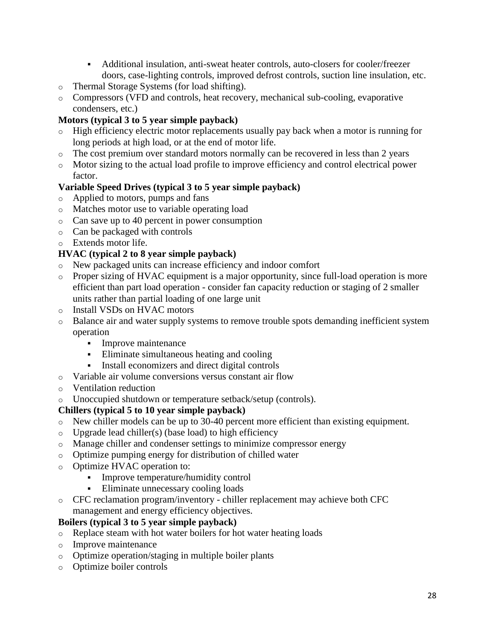- Additional insulation, anti-sweat heater controls, auto-closers for cooler/freezer doors, case-lighting controls, improved defrost controls, suction line insulation, etc.
- o Thermal Storage Systems (for load shifting).
- o Compressors (VFD and controls, heat recovery, mechanical sub-cooling, evaporative condensers, etc.)

#### **Motors (typical 3 to 5 year simple payback)**

- o High efficiency electric motor replacements usually pay back when a motor is running for long periods at high load, or at the end of motor life.
- $\circ$  The cost premium over standard motors normally can be recovered in less than 2 years
- o Motor sizing to the actual load profile to improve efficiency and control electrical power factor.

#### **Variable Speed Drives (typical 3 to 5 year simple payback)**

- Applied to motors, pumps and fans
- o Matches motor use to variable operating load
- o Can save up to 40 percent in power consumption
- o Can be packaged with controls
- o Extends motor life.

#### **HVAC (typical 2 to 8 year simple payback)**

- o New packaged units can increase efficiency and indoor comfort
- o Proper sizing of HVAC equipment is a major opportunity, since full-load operation is more efficient than part load operation - consider fan capacity reduction or staging of 2 smaller units rather than partial loading of one large unit
- o Install VSDs on HVAC motors
- o Balance air and water supply systems to remove trouble spots demanding inefficient system operation
	- **Improve maintenance**
	- Eliminate simultaneous heating and cooling
	- Install economizers and direct digital controls
- o Variable air volume conversions versus constant air flow
- o Ventilation reduction
- o Unoccupied shutdown or temperature setback/setup (controls).

#### **Chillers (typical 5 to 10 year simple payback)**

- o New chiller models can be up to 30-40 percent more efficient than existing equipment.
- $\circ$  Upgrade lead chiller(s) (base load) to high efficiency
- o Manage chiller and condenser settings to minimize compressor energy
- o Optimize pumping energy for distribution of chilled water
- o Optimize HVAC operation to:
	- **Improve temperature/humidity control**
	- Eliminate unnecessary cooling loads
- o CFC reclamation program/inventory chiller replacement may achieve both CFC management and energy efficiency objectives.

#### **Boilers (typical 3 to 5 year simple payback)**

- o Replace steam with hot water boilers for hot water heating loads
- o Improve maintenance
- o Optimize operation/staging in multiple boiler plants
- o Optimize boiler controls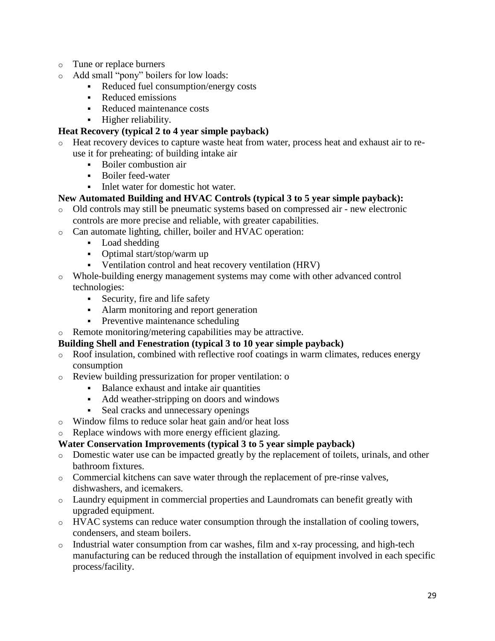- o Tune or replace burners
- o Add small "pony" boilers for low loads:
	- Reduced fuel consumption/energy costs
	- Reduced emissions
	- Reduced maintenance costs
	- **Higher reliability.**

#### **Heat Recovery (typical 2 to 4 year simple payback)**

- o Heat recovery devices to capture waste heat from water, process heat and exhaust air to reuse it for preheating: of building intake air
	- Boiler combustion air
	- **Boiler feed-water**
	- Inlet water for domestic hot water.

#### **New Automated Building and HVAC Controls (typical 3 to 5 year simple payback):**

- o Old controls may still be pneumatic systems based on compressed air new electronic controls are more precise and reliable, with greater capabilities.
- o Can automate lighting, chiller, boiler and HVAC operation:
	- Load shedding
	- Optimal start/stop/warm up
	- Ventilation control and heat recovery ventilation (HRV)
- o Whole-building energy management systems may come with other advanced control technologies:
	- Security, fire and life safety
	- Alarm monitoring and report generation
	- Preventive maintenance scheduling
- o Remote monitoring/metering capabilities may be attractive.

#### **Building Shell and Fenestration (typical 3 to 10 year simple payback)**

- o Roof insulation, combined with reflective roof coatings in warm climates, reduces energy consumption
- o Review building pressurization for proper ventilation: o
	- Balance exhaust and intake air quantities
	- Add weather-stripping on doors and windows
	- Seal cracks and unnecessary openings
- o Window films to reduce solar heat gain and/or heat loss
- o Replace windows with more energy efficient glazing.

#### **Water Conservation Improvements (typical 3 to 5 year simple payback)**

- o Domestic water use can be impacted greatly by the replacement of toilets, urinals, and other bathroom fixtures.
- o Commercial kitchens can save water through the replacement of pre-rinse valves, dishwashers, and icemakers.
- o Laundry equipment in commercial properties and Laundromats can benefit greatly with upgraded equipment.
- o HVAC systems can reduce water consumption through the installation of cooling towers, condensers, and steam boilers.
- $\circ$  Industrial water consumption from car washes, film and x-ray processing, and high-tech manufacturing can be reduced through the installation of equipment involved in each specific process/facility.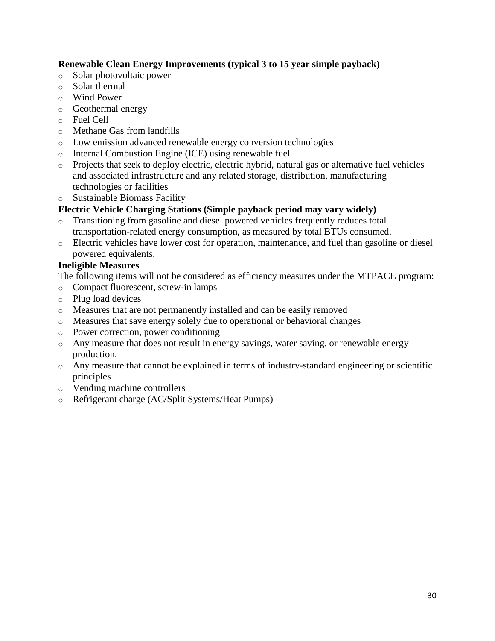#### **Renewable Clean Energy Improvements (typical 3 to 15 year simple payback)**

- o Solar photovoltaic power
- o Solar thermal
- o Wind Power
- o Geothermal energy
- o Fuel Cell
- o Methane Gas from landfills
- o Low emission advanced renewable energy conversion technologies
- o Internal Combustion Engine (ICE) using renewable fuel
- o Projects that seek to deploy electric, electric hybrid, natural gas or alternative fuel vehicles and associated infrastructure and any related storage, distribution, manufacturing technologies or facilities
- Sustainable Biomass Facility

#### **Electric Vehicle Charging Stations (Simple payback period may vary widely)**

- o Transitioning from gasoline and diesel powered vehicles frequently reduces total transportation-related energy consumption, as measured by total BTUs consumed.
- o Electric vehicles have lower cost for operation, maintenance, and fuel than gasoline or diesel powered equivalents.

#### **Ineligible Measures**

The following items will not be considered as efficiency measures under the MTPACE program:

- o Compact fluorescent, screw-in lamps
- o Plug load devices
- o Measures that are not permanently installed and can be easily removed
- o Measures that save energy solely due to operational or behavioral changes
- o Power correction, power conditioning
- o Any measure that does not result in energy savings, water saving, or renewable energy production.
- o Any measure that cannot be explained in terms of industry-standard engineering or scientific principles
- o Vending machine controllers
- o Refrigerant charge (AC/Split Systems/Heat Pumps)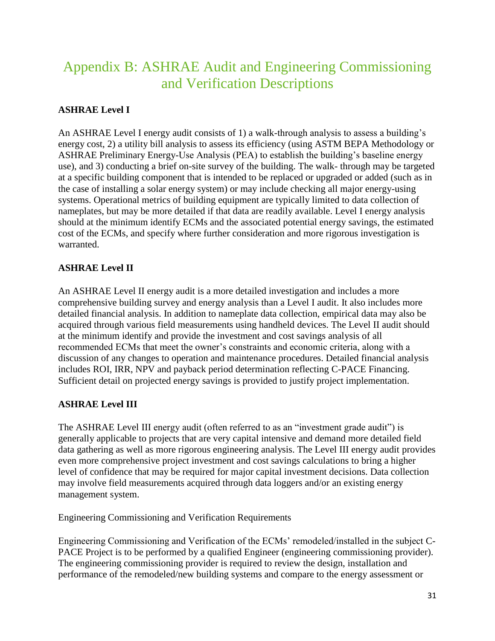# <span id="page-30-0"></span>Appendix B: ASHRAE Audit and Engineering Commissioning and Verification Descriptions

#### **ASHRAE Level I**

An ASHRAE Level I energy audit consists of 1) a walk-through analysis to assess a building's energy cost, 2) a utility bill analysis to assess its efficiency (using ASTM BEPA Methodology or ASHRAE Preliminary Energy-Use Analysis (PEA) to establish the building's baseline energy use), and 3) conducting a brief on-site survey of the building. The walk- through may be targeted at a specific building component that is intended to be replaced or upgraded or added (such as in the case of installing a solar energy system) or may include checking all major energy-using systems. Operational metrics of building equipment are typically limited to data collection of nameplates, but may be more detailed if that data are readily available. Level I energy analysis should at the minimum identify ECMs and the associated potential energy savings, the estimated cost of the ECMs, and specify where further consideration and more rigorous investigation is warranted.

#### **ASHRAE Level II**

An ASHRAE Level II energy audit is a more detailed investigation and includes a more comprehensive building survey and energy analysis than a Level I audit. It also includes more detailed financial analysis. In addition to nameplate data collection, empirical data may also be acquired through various field measurements using handheld devices. The Level II audit should at the minimum identify and provide the investment and cost savings analysis of all recommended ECMs that meet the owner's constraints and economic criteria, along with a discussion of any changes to operation and maintenance procedures. Detailed financial analysis includes ROI, IRR, NPV and payback period determination reflecting C-PACE Financing. Sufficient detail on projected energy savings is provided to justify project implementation.

#### **ASHRAE Level III**

The ASHRAE Level III energy audit (often referred to as an "investment grade audit") is generally applicable to projects that are very capital intensive and demand more detailed field data gathering as well as more rigorous engineering analysis. The Level III energy audit provides even more comprehensive project investment and cost savings calculations to bring a higher level of confidence that may be required for major capital investment decisions. Data collection may involve field measurements acquired through data loggers and/or an existing energy management system.

Engineering Commissioning and Verification Requirements

Engineering Commissioning and Verification of the ECMs' remodeled/installed in the subject C-PACE Project is to be performed by a qualified Engineer (engineering commissioning provider). The engineering commissioning provider is required to review the design, installation and performance of the remodeled/new building systems and compare to the energy assessment or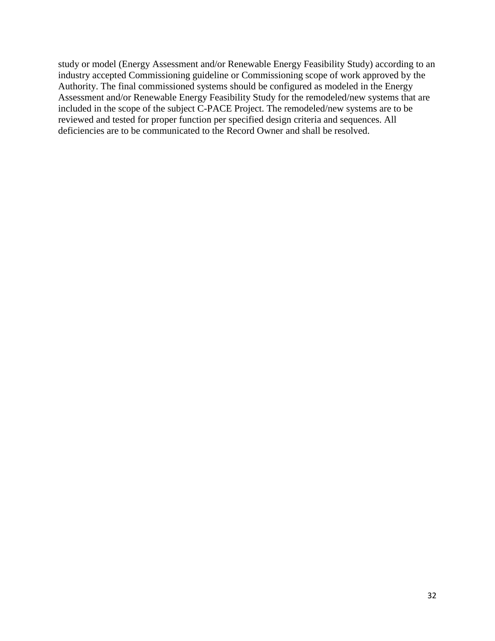study or model (Energy Assessment and/or Renewable Energy Feasibility Study) according to an industry accepted Commissioning guideline or Commissioning scope of work approved by the Authority. The final commissioned systems should be configured as modeled in the Energy Assessment and/or Renewable Energy Feasibility Study for the remodeled/new systems that are included in the scope of the subject C-PACE Project. The remodeled/new systems are to be reviewed and tested for proper function per specified design criteria and sequences. All deficiencies are to be communicated to the Record Owner and shall be resolved.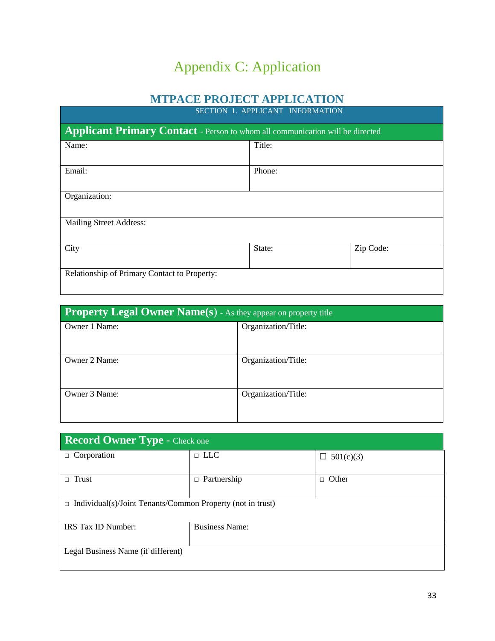# Appendix C: Application

### **MTPACE PROJECT APPLICATION**

<span id="page-32-0"></span>

| SECTION 1. APPLICANT INFORMATION                                                     |        |  |  |  |
|--------------------------------------------------------------------------------------|--------|--|--|--|
| <b>Applicant Primary Contact</b> - Person to whom all communication will be directed |        |  |  |  |
| Name:                                                                                | Title: |  |  |  |
| Email:                                                                               | Phone: |  |  |  |
| Organization:                                                                        |        |  |  |  |
| <b>Mailing Street Address:</b>                                                       |        |  |  |  |
| Zip Code:<br>City<br>State:                                                          |        |  |  |  |
| Relationship of Primary Contact to Property:                                         |        |  |  |  |

| <b>Property Legal Owner Name(s)</b> - As they appear on property title |                     |  |  |
|------------------------------------------------------------------------|---------------------|--|--|
| Owner 1 Name:                                                          | Organization/Title: |  |  |
|                                                                        |                     |  |  |
| Owner 2 Name:                                                          | Organization/Title: |  |  |
|                                                                        |                     |  |  |
| Owner 3 Name:                                                          | Organization/Title: |  |  |
|                                                                        |                     |  |  |

| Record Owner Type - Check one                                     |                       |                  |  |
|-------------------------------------------------------------------|-----------------------|------------------|--|
| $\Box$ Corporation                                                | $\Box$ LLC            | $\Box$ 501(c)(3) |  |
| Trust<br>$\Box$                                                   | Partnership<br>$\Box$ | Other<br>П.      |  |
| $\Box$ Individual(s)/Joint Tenants/Common Property (not in trust) |                       |                  |  |
| IRS Tax ID Number:                                                | <b>Business Name:</b> |                  |  |
| Legal Business Name (if different)                                |                       |                  |  |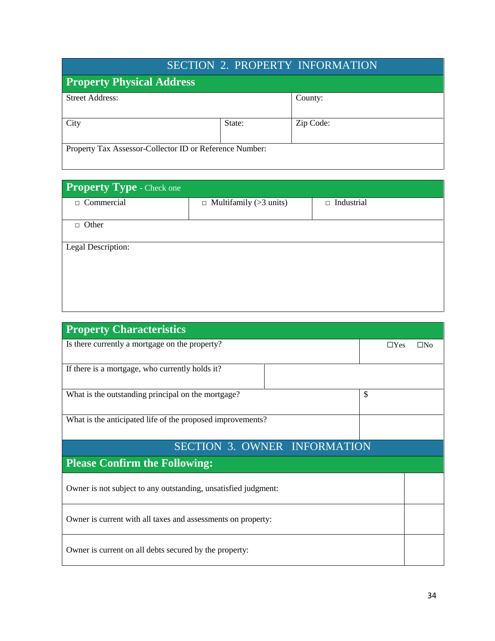| <b>SECTION 2. PROPERTY INFORMATION</b>                  |        |           |  |
|---------------------------------------------------------|--------|-----------|--|
| <b>Property Physical Address</b>                        |        |           |  |
| <b>Street Address:</b>                                  |        | County:   |  |
| City                                                    | State: | Zip Code: |  |
| Property Tax Assessor-Collector ID or Reference Number: |        |           |  |

| Property Type - Check one |                               |                   |  |  |  |
|---------------------------|-------------------------------|-------------------|--|--|--|
| $\Box$ Commercial         | $\Box$ Multifamily (>3 units) | $\Box$ Industrial |  |  |  |
| $\Box$ Other              |                               |                   |  |  |  |
|                           |                               |                   |  |  |  |
| Legal Description:        |                               |                   |  |  |  |
|                           |                               |                   |  |  |  |
|                           |                               |                   |  |  |  |
|                           |                               |                   |  |  |  |

| <b>Property Characteristics</b>                                |            |              |
|----------------------------------------------------------------|------------|--------------|
| Is there currently a mortgage on the property?                 | $\Box$ Yes | $\square$ No |
| If there is a mortgage, who currently holds it?                |            |              |
| What is the outstanding principal on the mortgage?             | \$         |              |
| What is the anticipated life of the proposed improvements?     |            |              |
| <b>SECTION 3. OWNER INFORMATION</b>                            |            |              |
| <b>Please Confirm the Following:</b>                           |            |              |
| Owner is not subject to any outstanding, unsatisfied judgment: |            |              |
| Owner is current with all taxes and assessments on property:   |            |              |
| Owner is current on all debts secured by the property:         |            |              |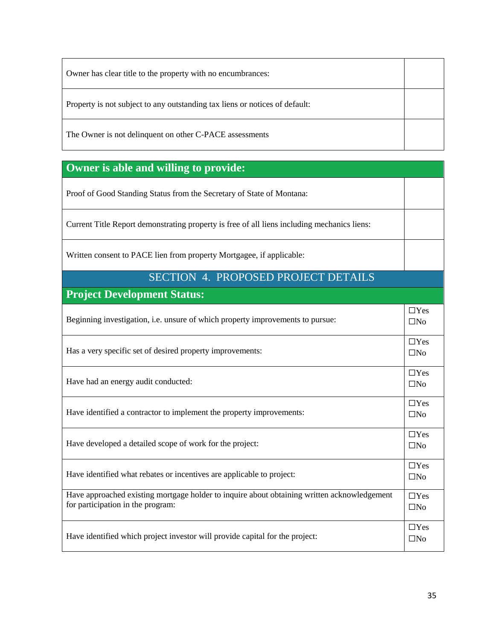| Owner has clear title to the property with no encumbrances:                 |  |
|-----------------------------------------------------------------------------|--|
| Property is not subject to any outstanding tax liens or notices of default: |  |
| The Owner is not delinquent on other C-PACE assessments                     |  |

### **Owner is able and willing to provide:**

Proof of Good Standing Status from the Secretary of State of Montana:

Current Title Report demonstrating property is free of all liens including mechanics liens:

Written consent to PACE lien from property Mortgagee, if applicable:

#### SECTION 4. PROPOSED PROJECT DETAILS

**Project Development Status:**

| Beginning investigation, <i>i.e.</i> unsure of which property improvements to pursue:                                            | $\Box$ Yes<br>$\Box$ No    |
|----------------------------------------------------------------------------------------------------------------------------------|----------------------------|
| Has a very specific set of desired property improvements:                                                                        | $\Box$ Yes<br>$\square$ No |
| Have had an energy audit conducted:                                                                                              | $\Box$ Yes<br>$\square$ No |
| Have identified a contractor to implement the property improvements:                                                             | $\Box$ Yes<br>$\square$ No |
| Have developed a detailed scope of work for the project:                                                                         | $\Box$ Yes<br>$\square$ No |
| Have identified what rebates or incentives are applicable to project:                                                            | $\Box$ Yes<br>$\square$ No |
| Have approached existing mortgage holder to inquire about obtaining written acknowledgement<br>for participation in the program: | $\Box$ Yes<br>$\square$ No |
| Have identified which project investor will provide capital for the project:                                                     | $\Box$ Yes<br>$\Box$ No    |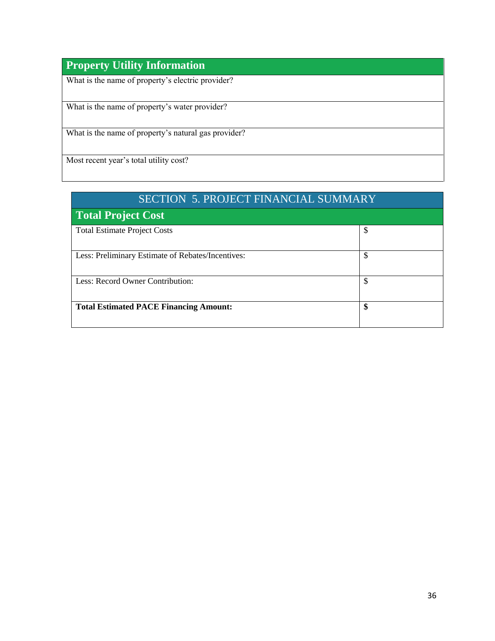### **Property Utility Information**

What is the name of property's electric provider?

What is the name of property's water provider?

What is the name of property's natural gas provider?

Most recent year's total utility cost?

| <b>SECTION 5. PROJECT FINANCIAL SUMMARY</b>       |    |  |  |
|---------------------------------------------------|----|--|--|
| <b>Total Project Cost</b>                         |    |  |  |
| <b>Total Estimate Project Costs</b>               | S  |  |  |
| Less: Preliminary Estimate of Rebates/Incentives: | \$ |  |  |
| Less: Record Owner Contribution:                  | \$ |  |  |
| <b>Total Estimated PACE Financing Amount:</b>     | \$ |  |  |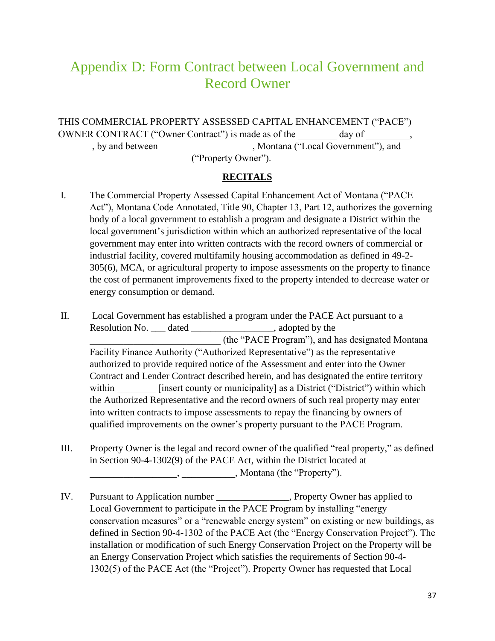## <span id="page-36-0"></span>Appendix D: Form Contract between Local Government and Record Owner

THIS COMMERCIAL PROPERTY ASSESSED CAPITAL ENHANCEMENT ("PACE") OWNER CONTRACT ("Owner Contract") is made as of the day of \_\_\_\_\_\_\_\_, \_\_\_\_\_\_\_, by and between \_\_\_\_\_\_\_\_\_\_\_\_\_\_\_\_\_\_\_, Montana ("Local Government"), and \_\_\_\_\_\_\_\_\_\_\_\_\_\_\_\_\_\_\_\_\_\_\_\_\_\_\_ ("Property Owner").

#### **RECITALS**

- I. The Commercial Property Assessed Capital Enhancement Act of Montana ("PACE Act"), Montana Code Annotated, Title 90, Chapter 13, Part 12, authorizes the governing body of a local government to establish a program and designate a District within the local government's jurisdiction within which an authorized representative of the local government may enter into written contracts with the record owners of commercial or industrial facility, covered multifamily housing accommodation as defined in 49-2- 305(6), MCA, or agricultural property to impose assessments on the property to finance the cost of permanent improvements fixed to the property intended to decrease water or energy consumption or demand.
- II. Local Government has established a program under the PACE Act pursuant to a Resolution No. <u>\_\_\_</u> dated \_\_\_\_\_\_\_\_\_\_\_\_\_\_\_\_\_\_\_, adopted by the \_\_\_\_\_\_\_\_\_\_\_\_\_\_\_\_\_\_\_\_\_\_\_\_\_\_\_ (the "PACE Program"), and has designated Montana Facility Finance Authority ("Authorized Representative") as the representative authorized to provide required notice of the Assessment and enter into the Owner Contract and Lender Contract described herein, and has designated the entire territory within **insert county or municipality** as a District ("District") within which the Authorized Representative and the record owners of such real property may enter into written contracts to impose assessments to repay the financing by owners of qualified improvements on the owner's property pursuant to the PACE Program.
- III. Property Owner is the legal and record owner of the qualified "real property," as defined in Section 90-4-1302(9) of the PACE Act, within the District located at \_\_\_\_\_\_\_\_\_\_\_\_\_\_\_\_\_\_, \_\_\_\_\_\_\_\_\_\_\_, Montana (the "Property").
- IV. Pursuant to Application number \_\_\_\_\_\_\_\_\_\_\_\_\_\_\_, Property Owner has applied to Local Government to participate in the PACE Program by installing "energy conservation measures" or a "renewable energy system" on existing or new buildings, as defined in Section 90-4-1302 of the PACE Act (the "Energy Conservation Project"). The installation or modification of such Energy Conservation Project on the Property will be an Energy Conservation Project which satisfies the requirements of Section 90-4- 1302(5) of the PACE Act (the "Project"). Property Owner has requested that Local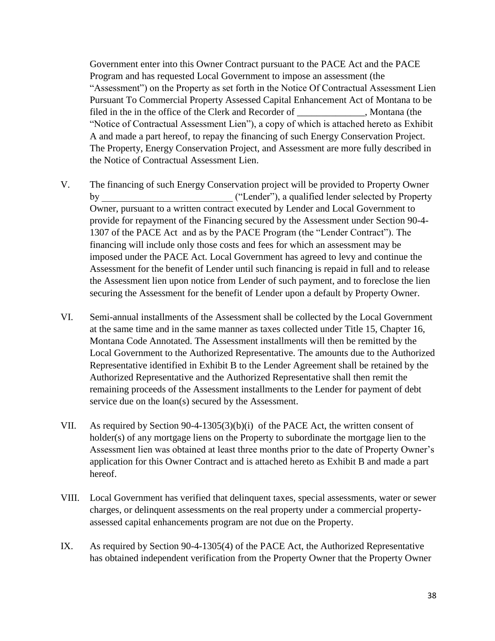Government enter into this Owner Contract pursuant to the PACE Act and the PACE Program and has requested Local Government to impose an assessment (the "Assessment") on the Property as set forth in the Notice Of Contractual Assessment Lien Pursuant To Commercial Property Assessed Capital Enhancement Act of Montana to be filed in the in the office of the Clerk and Recorder of , Montana (the "Notice of Contractual Assessment Lien"), a copy of which is attached hereto as Exhibit A and made a part hereof, to repay the financing of such Energy Conservation Project. The Property, Energy Conservation Project, and Assessment are more fully described in the Notice of Contractual Assessment Lien.

- V. The financing of such Energy Conservation project will be provided to Property Owner by  $("Lender"), a qualified lender selected by Property$ Owner, pursuant to a written contract executed by Lender and Local Government to provide for repayment of the Financing secured by the Assessment under Section 90-4- 1307 of the PACE Act and as by the PACE Program (the "Lender Contract"). The financing will include only those costs and fees for which an assessment may be imposed under the PACE Act. Local Government has agreed to levy and continue the Assessment for the benefit of Lender until such financing is repaid in full and to release the Assessment lien upon notice from Lender of such payment, and to foreclose the lien securing the Assessment for the benefit of Lender upon a default by Property Owner.
- VI. Semi-annual installments of the Assessment shall be collected by the Local Government at the same time and in the same manner as taxes collected under Title 15, Chapter 16, Montana Code Annotated. The Assessment installments will then be remitted by the Local Government to the Authorized Representative. The amounts due to the Authorized Representative identified in Exhibit B to the Lender Agreement shall be retained by the Authorized Representative and the Authorized Representative shall then remit the remaining proceeds of the Assessment installments to the Lender for payment of debt service due on the loan(s) secured by the Assessment.
- VII. As required by Section 90-4-1305(3)(b)(i) of the PACE Act, the written consent of holder(s) of any mortgage liens on the Property to subordinate the mortgage lien to the Assessment lien was obtained at least three months prior to the date of Property Owner's application for this Owner Contract and is attached hereto as Exhibit B and made a part hereof.
- VIII. Local Government has verified that delinquent taxes, special assessments, water or sewer charges, or delinquent assessments on the real property under a commercial propertyassessed capital enhancements program are not due on the Property.
- IX. As required by Section 90-4-1305(4) of the PACE Act, the Authorized Representative has obtained independent verification from the Property Owner that the Property Owner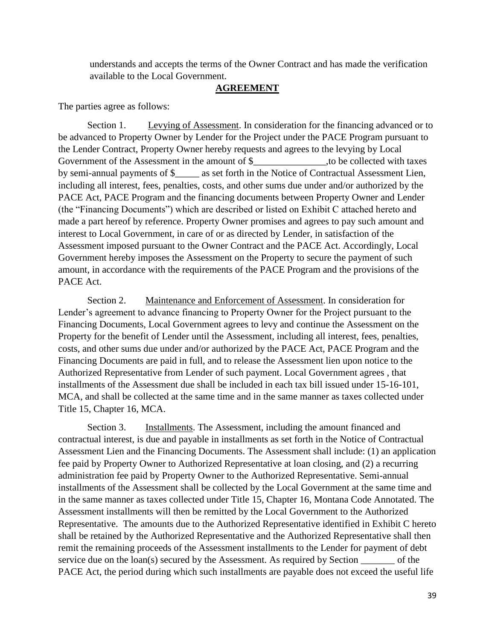understands and accepts the terms of the Owner Contract and has made the verification available to the Local Government.

#### **AGREEMENT**

The parties agree as follows:

Section 1. Levying of Assessment. In consideration for the financing advanced or to be advanced to Property Owner by Lender for the Project under the PACE Program pursuant to the Lender Contract, Property Owner hereby requests and agrees to the levying by Local Government of the Assessment in the amount of \$  $\qquad \qquad$  to be collected with taxes by semi-annual payments of \$\_\_\_\_\_ as set forth in the Notice of Contractual Assessment Lien, including all interest, fees, penalties, costs, and other sums due under and/or authorized by the PACE Act, PACE Program and the financing documents between Property Owner and Lender (the "Financing Documents") which are described or listed on Exhibit C attached hereto and made a part hereof by reference. Property Owner promises and agrees to pay such amount and interest to Local Government, in care of or as directed by Lender, in satisfaction of the Assessment imposed pursuant to the Owner Contract and the PACE Act. Accordingly, Local Government hereby imposes the Assessment on the Property to secure the payment of such amount, in accordance with the requirements of the PACE Program and the provisions of the PACE Act.

Section 2. Maintenance and Enforcement of Assessment. In consideration for Lender's agreement to advance financing to Property Owner for the Project pursuant to the Financing Documents, Local Government agrees to levy and continue the Assessment on the Property for the benefit of Lender until the Assessment, including all interest, fees, penalties, costs, and other sums due under and/or authorized by the PACE Act, PACE Program and the Financing Documents are paid in full, and to release the Assessment lien upon notice to the Authorized Representative from Lender of such payment. Local Government agrees , that installments of the Assessment due shall be included in each tax bill issued under 15-16-101, MCA, and shall be collected at the same time and in the same manner as taxes collected under Title 15, Chapter 16, MCA.

Section 3. Installments. The Assessment, including the amount financed and contractual interest, is due and payable in installments as set forth in the Notice of Contractual Assessment Lien and the Financing Documents. The Assessment shall include: (1) an application fee paid by Property Owner to Authorized Representative at loan closing, and (2) a recurring administration fee paid by Property Owner to the Authorized Representative. Semi-annual installments of the Assessment shall be collected by the Local Government at the same time and in the same manner as taxes collected under Title 15, Chapter 16, Montana Code Annotated. The Assessment installments will then be remitted by the Local Government to the Authorized Representative. The amounts due to the Authorized Representative identified in Exhibit C hereto shall be retained by the Authorized Representative and the Authorized Representative shall then remit the remaining proceeds of the Assessment installments to the Lender for payment of debt service due on the loan(s) secured by the Assessment. As required by Section \_\_\_\_\_\_\_ of the PACE Act, the period during which such installments are payable does not exceed the useful life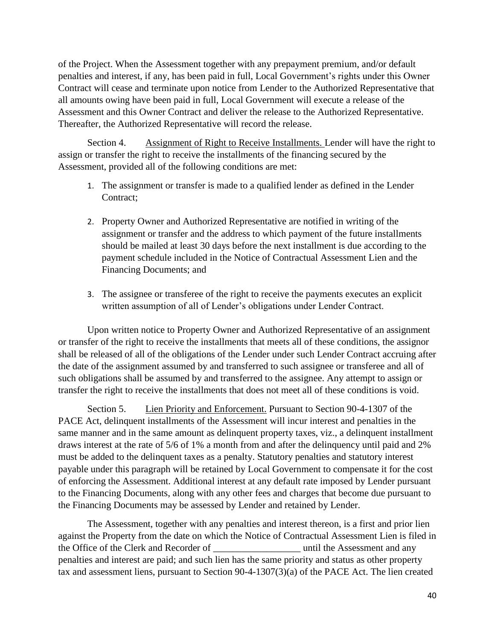of the Project. When the Assessment together with any prepayment premium, and/or default penalties and interest, if any, has been paid in full, Local Government's rights under this Owner Contract will cease and terminate upon notice from Lender to the Authorized Representative that all amounts owing have been paid in full, Local Government will execute a release of the Assessment and this Owner Contract and deliver the release to the Authorized Representative. Thereafter, the Authorized Representative will record the release.

Section 4. Assignment of Right to Receive Installments. Lender will have the right to assign or transfer the right to receive the installments of the financing secured by the Assessment, provided all of the following conditions are met:

- 1. The assignment or transfer is made to a qualified lender as defined in the Lender Contract:
- 2. Property Owner and Authorized Representative are notified in writing of the assignment or transfer and the address to which payment of the future installments should be mailed at least 30 days before the next installment is due according to the payment schedule included in the Notice of Contractual Assessment Lien and the Financing Documents; and
- 3. The assignee or transferee of the right to receive the payments executes an explicit written assumption of all of Lender's obligations under Lender Contract.

Upon written notice to Property Owner and Authorized Representative of an assignment or transfer of the right to receive the installments that meets all of these conditions, the assignor shall be released of all of the obligations of the Lender under such Lender Contract accruing after the date of the assignment assumed by and transferred to such assignee or transferee and all of such obligations shall be assumed by and transferred to the assignee. Any attempt to assign or transfer the right to receive the installments that does not meet all of these conditions is void.

Section 5. Lien Priority and Enforcement. Pursuant to Section 90-4-1307 of the PACE Act, delinquent installments of the Assessment will incur interest and penalties in the same manner and in the same amount as delinquent property taxes, viz., a delinquent installment draws interest at the rate of 5/6 of 1% a month from and after the delinquency until paid and 2% must be added to the delinquent taxes as a penalty. Statutory penalties and statutory interest payable under this paragraph will be retained by Local Government to compensate it for the cost of enforcing the Assessment. Additional interest at any default rate imposed by Lender pursuant to the Financing Documents, along with any other fees and charges that become due pursuant to the Financing Documents may be assessed by Lender and retained by Lender.

The Assessment, together with any penalties and interest thereon, is a first and prior lien against the Property from the date on which the Notice of Contractual Assessment Lien is filed in the Office of the Clerk and Recorder of  $\qquad$  until the Assessment and any penalties and interest are paid; and such lien has the same priority and status as other property tax and assessment liens, pursuant to Section 90-4-1307(3)(a) of the PACE Act. The lien created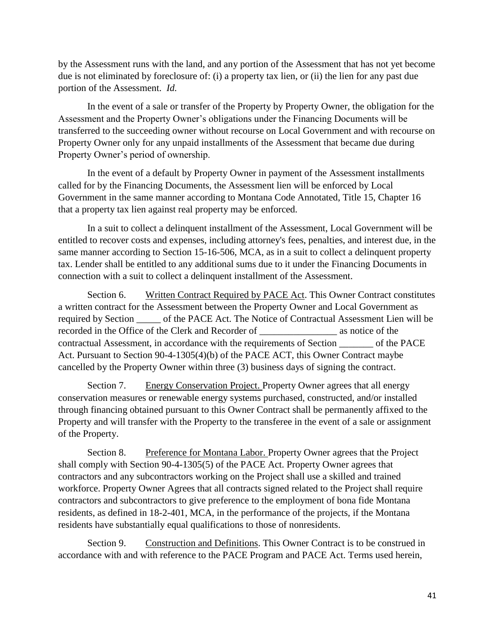by the Assessment runs with the land, and any portion of the Assessment that has not yet become due is not eliminated by foreclosure of: (i) a property tax lien, or (ii) the lien for any past due portion of the Assessment. *Id.*

In the event of a sale or transfer of the Property by Property Owner, the obligation for the Assessment and the Property Owner's obligations under the Financing Documents will be transferred to the succeeding owner without recourse on Local Government and with recourse on Property Owner only for any unpaid installments of the Assessment that became due during Property Owner's period of ownership.

In the event of a default by Property Owner in payment of the Assessment installments called for by the Financing Documents, the Assessment lien will be enforced by Local Government in the same manner according to Montana Code Annotated, Title 15, Chapter 16 that a property tax lien against real property may be enforced.

In a suit to collect a delinquent installment of the Assessment, Local Government will be entitled to recover costs and expenses, including attorney's fees, penalties, and interest due, in the same manner according to Section 15-16-506, MCA, as in a suit to collect a delinquent property tax. Lender shall be entitled to any additional sums due to it under the Financing Documents in connection with a suit to collect a delinquent installment of the Assessment.

Section 6. Written Contract Required by PACE Act. This Owner Contract constitutes a written contract for the Assessment between the Property Owner and Local Government as required by Section \_\_\_\_\_ of the PACE Act. The Notice of Contractual Assessment Lien will be recorded in the Office of the Clerk and Recorder of  $\qquad$  as notice of the contractual Assessment, in accordance with the requirements of Section \_\_\_\_\_\_\_ of the PACE Act. Pursuant to Section 90-4-1305(4)(b) of the PACE ACT, this Owner Contract maybe cancelled by the Property Owner within three (3) business days of signing the contract.

Section 7. Energy Conservation Project. Property Owner agrees that all energy conservation measures or renewable energy systems purchased, constructed, and/or installed through financing obtained pursuant to this Owner Contract shall be permanently affixed to the Property and will transfer with the Property to the transferee in the event of a sale or assignment of the Property.

Section 8. Preference for Montana Labor. Property Owner agrees that the Project shall comply with Section 90-4-1305(5) of the PACE Act. Property Owner agrees that contractors and any subcontractors working on the Project shall use a skilled and trained workforce. Property Owner Agrees that all contracts signed related to the Project shall require contractors and subcontractors to give preference to the employment of bona fide Montana residents, as defined in 18-2-401, MCA, in the performance of the projects, if the Montana residents have substantially equal qualifications to those of nonresidents.

Section 9. Construction and Definitions. This Owner Contract is to be construed in accordance with and with reference to the PACE Program and PACE Act. Terms used herein,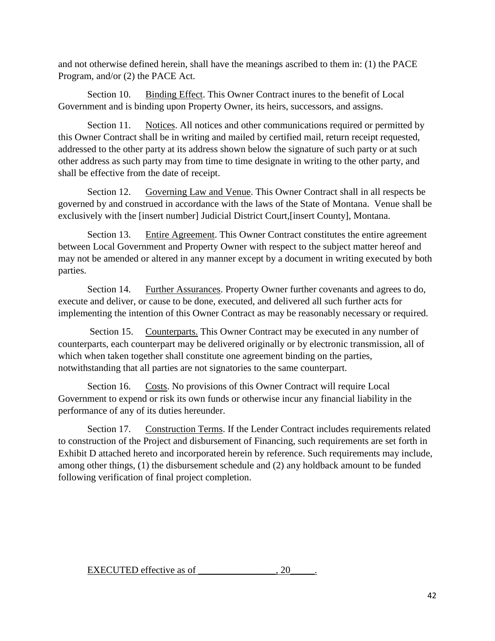and not otherwise defined herein, shall have the meanings ascribed to them in: (1) the PACE Program, and/or (2) the PACE Act.

Section 10. Binding Effect. This Owner Contract inures to the benefit of Local Government and is binding upon Property Owner, its heirs, successors, and assigns.

Section 11. Notices. All notices and other communications required or permitted by this Owner Contract shall be in writing and mailed by certified mail, return receipt requested, addressed to the other party at its address shown below the signature of such party or at such other address as such party may from time to time designate in writing to the other party, and shall be effective from the date of receipt.

Section 12. Governing Law and Venue. This Owner Contract shall in all respects be governed by and construed in accordance with the laws of the State of Montana. Venue shall be exclusively with the [insert number] Judicial District Court,[insert County], Montana.

Section 13. Entire Agreement. This Owner Contract constitutes the entire agreement between Local Government and Property Owner with respect to the subject matter hereof and may not be amended or altered in any manner except by a document in writing executed by both parties.

Section 14. Further Assurances. Property Owner further covenants and agrees to do, execute and deliver, or cause to be done, executed, and delivered all such further acts for implementing the intention of this Owner Contract as may be reasonably necessary or required.

Section 15. Counterparts. This Owner Contract may be executed in any number of counterparts, each counterpart may be delivered originally or by electronic transmission, all of which when taken together shall constitute one agreement binding on the parties, notwithstanding that all parties are not signatories to the same counterpart.

Section 16. Costs. No provisions of this Owner Contract will require Local Government to expend or risk its own funds or otherwise incur any financial liability in the performance of any of its duties hereunder.

Section 17. Construction Terms. If the Lender Contract includes requirements related to construction of the Project and disbursement of Financing, such requirements are set forth in Exhibit D attached hereto and incorporated herein by reference. Such requirements may include, among other things, (1) the disbursement schedule and (2) any holdback amount to be funded following verification of final project completion.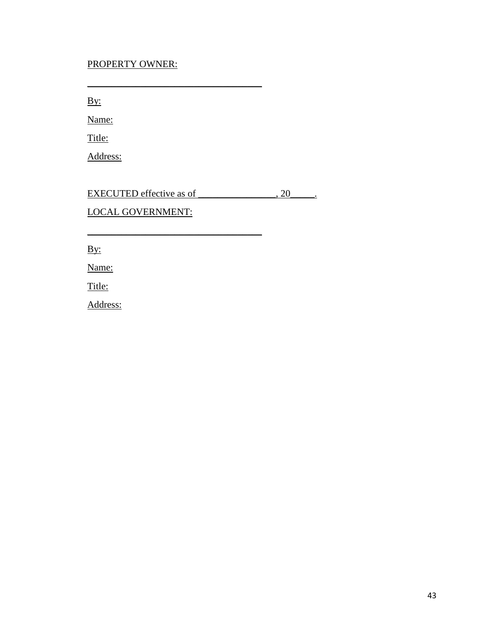#### PROPERTY OWNER:

\_\_\_\_\_\_\_\_\_\_\_\_\_\_\_\_\_\_\_\_\_\_\_\_\_\_\_\_\_\_\_\_\_\_\_\_

\_\_\_\_\_\_\_\_\_\_\_\_\_\_\_\_\_\_\_\_\_\_\_\_\_\_\_\_\_\_\_\_\_\_\_\_

By:

Name:

Title:

Address:

EXECUTED effective as of \_\_\_\_\_\_\_\_\_\_\_\_\_\_, 20\_\_\_\_\_.

LOCAL GOVERNMENT:

By:

Name:

Title:

Address: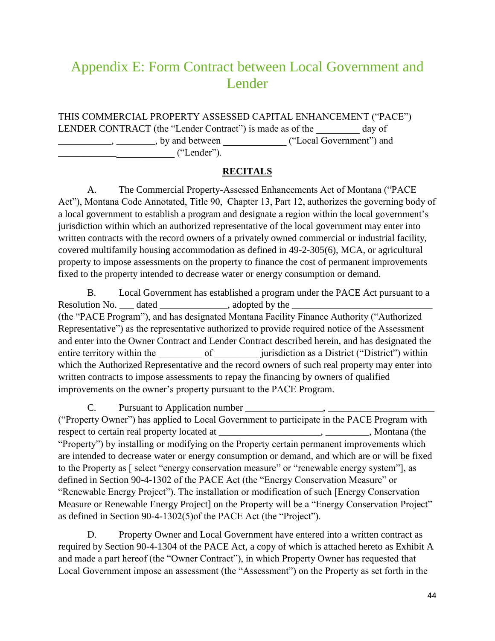## <span id="page-43-0"></span>Appendix E: Form Contract between Local Government and Lender

THIS COMMERCIAL PROPERTY ASSESSED CAPITAL ENHANCEMENT ("PACE") LENDER CONTRACT (the "Lender Contract") is made as of the day of \_\_\_\_\_\_\_\_\_\_\_, \_\_\_\_\_\_\_\_, by and between \_\_\_\_\_\_\_\_\_\_\_\_\_ ("Local Government") and  $\qquad \qquad$  ("Lender").

#### **RECITALS**

A. The Commercial Property-Assessed Enhancements Act of Montana ("PACE Act"), Montana Code Annotated, Title 90, Chapter 13, Part 12, authorizes the governing body of a local government to establish a program and designate a region within the local government's jurisdiction within which an authorized representative of the local government may enter into written contracts with the record owners of a privately owned commercial or industrial facility, covered multifamily housing accommodation as defined in 49-2-305(6), MCA, or agricultural property to impose assessments on the property to finance the cost of permanent improvements fixed to the property intended to decrease water or energy consumption or demand.

B. Local Government has established a program under the PACE Act pursuant to a Resolution No. \_\_\_ dated \_\_\_\_\_\_\_\_\_\_\_\_\_\_, adopted by the \_\_\_\_\_\_\_\_\_\_\_\_\_\_\_\_\_\_\_\_\_\_\_\_\_\_\_\_\_ (the "PACE Program"), and has designated Montana Facility Finance Authority ("Authorized Representative") as the representative authorized to provide required notice of the Assessment and enter into the Owner Contract and Lender Contract described herein, and has designated the entire territory within the \_\_\_\_\_\_\_\_\_\_ of \_\_\_\_\_\_\_\_\_ jurisdiction as a District ("District") within which the Authorized Representative and the record owners of such real property may enter into written contracts to impose assessments to repay the financing by owners of qualified improvements on the owner's property pursuant to the PACE Program.

C. Pursuant to Application number \_\_\_\_\_\_\_\_\_\_\_\_\_\_\_\_, \_\_\_\_\_\_\_\_\_\_\_\_\_\_\_\_\_\_\_\_\_\_ ("Property Owner") has applied to Local Government to participate in the PACE Program with respect to certain real property located at \_\_\_\_\_\_\_\_\_\_\_\_\_\_\_\_\_\_\_\_\_, \_\_\_\_\_\_\_\_\_, Montana (the "Property") by installing or modifying on the Property certain permanent improvements which are intended to decrease water or energy consumption or demand, and which are or will be fixed to the Property as [ select "energy conservation measure" or "renewable energy system"], as defined in Section 90-4-1302 of the PACE Act (the "Energy Conservation Measure" or "Renewable Energy Project"). The installation or modification of such [Energy Conservation Measure or Renewable Energy Project] on the Property will be a "Energy Conservation Project" as defined in Section 90-4-1302(5)of the PACE Act (the "Project").

D. Property Owner and Local Government have entered into a written contract as required by Section 90-4-1304 of the PACE Act, a copy of which is attached hereto as Exhibit A and made a part hereof (the "Owner Contract"), in which Property Owner has requested that Local Government impose an assessment (the "Assessment") on the Property as set forth in the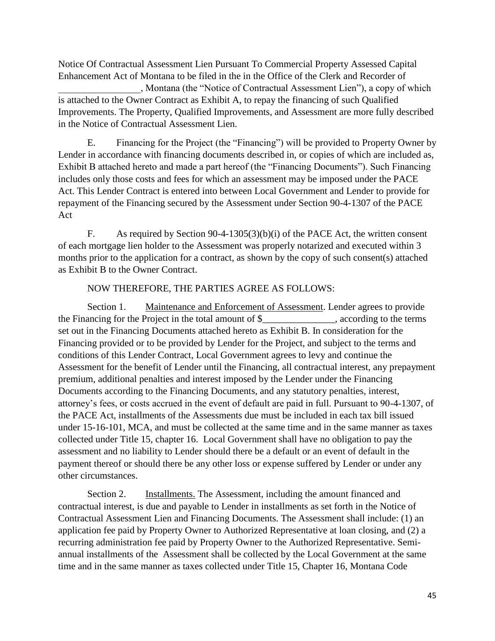Notice Of Contractual Assessment Lien Pursuant To Commercial Property Assessed Capital Enhancement Act of Montana to be filed in the in the Office of the Clerk and Recorder of

\_\_\_\_\_\_\_\_\_\_\_\_\_\_\_\_\_, Montana (the "Notice of Contractual Assessment Lien"), a copy of which is attached to the Owner Contract as Exhibit A, to repay the financing of such Qualified Improvements. The Property, Qualified Improvements, and Assessment are more fully described in the Notice of Contractual Assessment Lien.

E. Financing for the Project (the "Financing") will be provided to Property Owner by Lender in accordance with financing documents described in, or copies of which are included as, Exhibit B attached hereto and made a part hereof (the "Financing Documents"). Such Financing includes only those costs and fees for which an assessment may be imposed under the PACE Act. This Lender Contract is entered into between Local Government and Lender to provide for repayment of the Financing secured by the Assessment under Section 90-4-1307 of the PACE Act

F. As required by Section 90-4-1305(3)(b)(i) of the PACE Act, the written consent of each mortgage lien holder to the Assessment was properly notarized and executed within 3 months prior to the application for a contract, as shown by the copy of such consent(s) attached as Exhibit B to the Owner Contract.

#### NOW THEREFORE, THE PARTIES AGREE AS FOLLOWS:

Section 1. Maintenance and Enforcement of Assessment. Lender agrees to provide the Financing for the Project in the total amount of \$\_\_\_\_\_\_\_\_\_\_\_, according to the terms set out in the Financing Documents attached hereto as Exhibit B. In consideration for the Financing provided or to be provided by Lender for the Project, and subject to the terms and conditions of this Lender Contract, Local Government agrees to levy and continue the Assessment for the benefit of Lender until the Financing, all contractual interest, any prepayment premium, additional penalties and interest imposed by the Lender under the Financing Documents according to the Financing Documents, and any statutory penalties, interest, attorney's fees, or costs accrued in the event of default are paid in full. Pursuant to 90-4-1307, of the PACE Act, installments of the Assessments due must be included in each tax bill issued under 15-16-101, MCA, and must be collected at the same time and in the same manner as taxes collected under Title 15, chapter 16. Local Government shall have no obligation to pay the assessment and no liability to Lender should there be a default or an event of default in the payment thereof or should there be any other loss or expense suffered by Lender or under any other circumstances.

Section 2. Installments. The Assessment, including the amount financed and contractual interest, is due and payable to Lender in installments as set forth in the Notice of Contractual Assessment Lien and Financing Documents. The Assessment shall include: (1) an application fee paid by Property Owner to Authorized Representative at loan closing, and (2) a recurring administration fee paid by Property Owner to the Authorized Representative. Semiannual installments of the Assessment shall be collected by the Local Government at the same time and in the same manner as taxes collected under Title 15, Chapter 16, Montana Code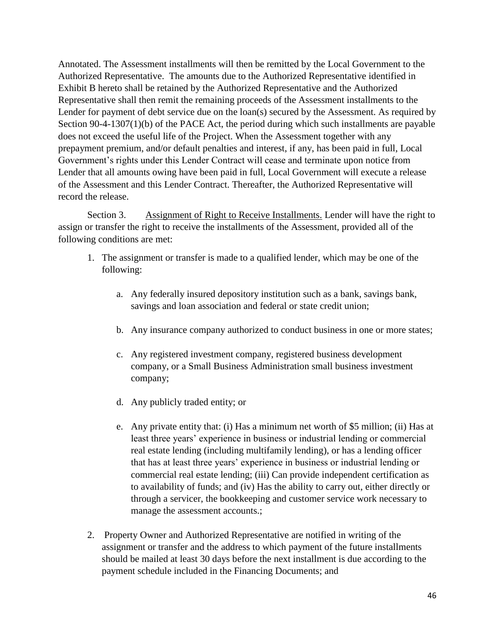Annotated. The Assessment installments will then be remitted by the Local Government to the Authorized Representative. The amounts due to the Authorized Representative identified in Exhibit B hereto shall be retained by the Authorized Representative and the Authorized Representative shall then remit the remaining proceeds of the Assessment installments to the Lender for payment of debt service due on the loan(s) secured by the Assessment. As required by Section 90-4-1307(1)(b) of the PACE Act, the period during which such installments are payable does not exceed the useful life of the Project. When the Assessment together with any prepayment premium, and/or default penalties and interest, if any, has been paid in full, Local Government's rights under this Lender Contract will cease and terminate upon notice from Lender that all amounts owing have been paid in full, Local Government will execute a release of the Assessment and this Lender Contract. Thereafter, the Authorized Representative will record the release.

Section 3. Assignment of Right to Receive Installments. Lender will have the right to assign or transfer the right to receive the installments of the Assessment, provided all of the following conditions are met:

- 1. The assignment or transfer is made to a qualified lender, which may be one of the following:
	- a. Any federally insured depository institution such as a bank, savings bank, savings and loan association and federal or state credit union;
	- b. Any insurance company authorized to conduct business in one or more states;
	- c. Any registered investment company, registered business development company, or a Small Business Administration small business investment company;
	- d. Any publicly traded entity; or
	- e. Any private entity that: (i) Has a minimum net worth of \$5 million; (ii) Has at least three years' experience in business or industrial lending or commercial real estate lending (including multifamily lending), or has a lending officer that has at least three years' experience in business or industrial lending or commercial real estate lending; (iii) Can provide independent certification as to availability of funds; and (iv) Has the ability to carry out, either directly or through a servicer, the bookkeeping and customer service work necessary to manage the assessment accounts.;
- 2. Property Owner and Authorized Representative are notified in writing of the assignment or transfer and the address to which payment of the future installments should be mailed at least 30 days before the next installment is due according to the payment schedule included in the Financing Documents; and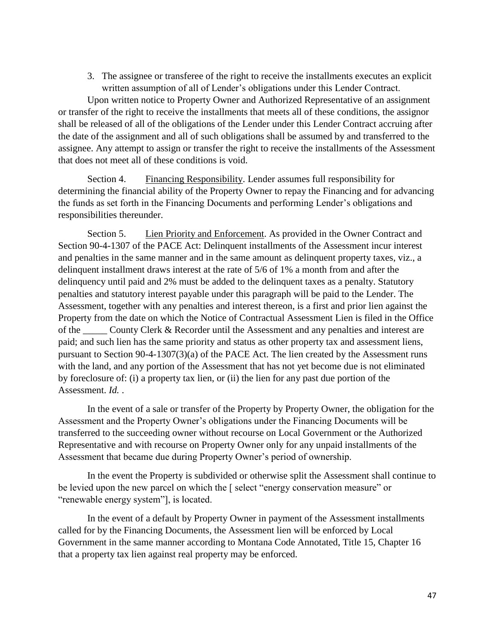3. The assignee or transferee of the right to receive the installments executes an explicit written assumption of all of Lender's obligations under this Lender Contract.

Upon written notice to Property Owner and Authorized Representative of an assignment or transfer of the right to receive the installments that meets all of these conditions, the assignor shall be released of all of the obligations of the Lender under this Lender Contract accruing after the date of the assignment and all of such obligations shall be assumed by and transferred to the assignee. Any attempt to assign or transfer the right to receive the installments of the Assessment that does not meet all of these conditions is void.

Section 4. Financing Responsibility. Lender assumes full responsibility for determining the financial ability of the Property Owner to repay the Financing and for advancing the funds as set forth in the Financing Documents and performing Lender's obligations and responsibilities thereunder.

Section 5. Lien Priority and Enforcement. As provided in the Owner Contract and Section 90-4-1307 of the PACE Act: Delinquent installments of the Assessment incur interest and penalties in the same manner and in the same amount as delinquent property taxes, viz., a delinquent installment draws interest at the rate of 5/6 of 1% a month from and after the delinquency until paid and 2% must be added to the delinquent taxes as a penalty. Statutory penalties and statutory interest payable under this paragraph will be paid to the Lender. The Assessment, together with any penalties and interest thereon, is a first and prior lien against the Property from the date on which the Notice of Contractual Assessment Lien is filed in the Office of the County Clerk & Recorder until the Assessment and any penalties and interest are paid; and such lien has the same priority and status as other property tax and assessment liens, pursuant to Section 90-4-1307(3)(a) of the PACE Act. The lien created by the Assessment runs with the land, and any portion of the Assessment that has not yet become due is not eliminated by foreclosure of: (i) a property tax lien, or (ii) the lien for any past due portion of the Assessment. *Id.* .

In the event of a sale or transfer of the Property by Property Owner, the obligation for the Assessment and the Property Owner's obligations under the Financing Documents will be transferred to the succeeding owner without recourse on Local Government or the Authorized Representative and with recourse on Property Owner only for any unpaid installments of the Assessment that became due during Property Owner's period of ownership.

In the event the Property is subdivided or otherwise split the Assessment shall continue to be levied upon the new parcel on which the [ select "energy conservation measure" or "renewable energy system"], is located.

In the event of a default by Property Owner in payment of the Assessment installments called for by the Financing Documents, the Assessment lien will be enforced by Local Government in the same manner according to Montana Code Annotated, Title 15, Chapter 16 that a property tax lien against real property may be enforced.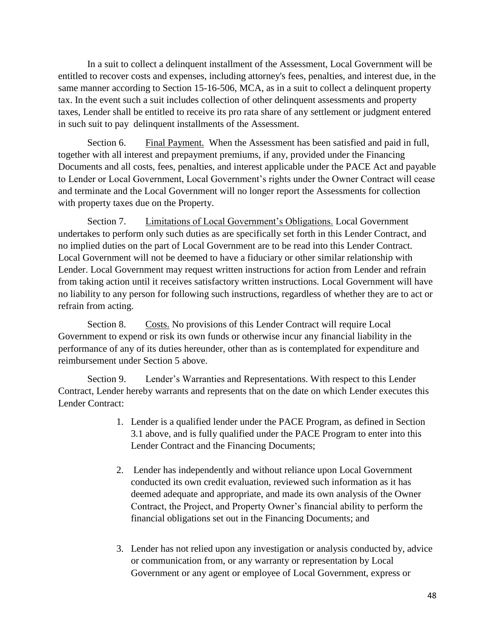In a suit to collect a delinquent installment of the Assessment, Local Government will be entitled to recover costs and expenses, including attorney's fees, penalties, and interest due, in the same manner according to Section 15-16-506, MCA, as in a suit to collect a delinquent property tax. In the event such a suit includes collection of other delinquent assessments and property taxes, Lender shall be entitled to receive its pro rata share of any settlement or judgment entered in such suit to pay delinquent installments of the Assessment.

Section 6. Final Payment. When the Assessment has been satisfied and paid in full, together with all interest and prepayment premiums, if any, provided under the Financing Documents and all costs, fees, penalties, and interest applicable under the PACE Act and payable to Lender or Local Government, Local Government's rights under the Owner Contract will cease and terminate and the Local Government will no longer report the Assessments for collection with property taxes due on the Property.

Section 7. Limitations of Local Government's Obligations. Local Government undertakes to perform only such duties as are specifically set forth in this Lender Contract, and no implied duties on the part of Local Government are to be read into this Lender Contract. Local Government will not be deemed to have a fiduciary or other similar relationship with Lender. Local Government may request written instructions for action from Lender and refrain from taking action until it receives satisfactory written instructions. Local Government will have no liability to any person for following such instructions, regardless of whether they are to act or refrain from acting.

Section 8. Costs. No provisions of this Lender Contract will require Local Government to expend or risk its own funds or otherwise incur any financial liability in the performance of any of its duties hereunder, other than as is contemplated for expenditure and reimbursement under Section 5 above.

Section 9. Lender's Warranties and Representations. With respect to this Lender Contract, Lender hereby warrants and represents that on the date on which Lender executes this Lender Contract:

- 1. Lender is a qualified lender under the PACE Program, as defined in Section 3.1 above, and is fully qualified under the PACE Program to enter into this Lender Contract and the Financing Documents;
- 2. Lender has independently and without reliance upon Local Government conducted its own credit evaluation, reviewed such information as it has deemed adequate and appropriate, and made its own analysis of the Owner Contract, the Project, and Property Owner's financial ability to perform the financial obligations set out in the Financing Documents; and
- 3. Lender has not relied upon any investigation or analysis conducted by, advice or communication from, or any warranty or representation by Local Government or any agent or employee of Local Government, express or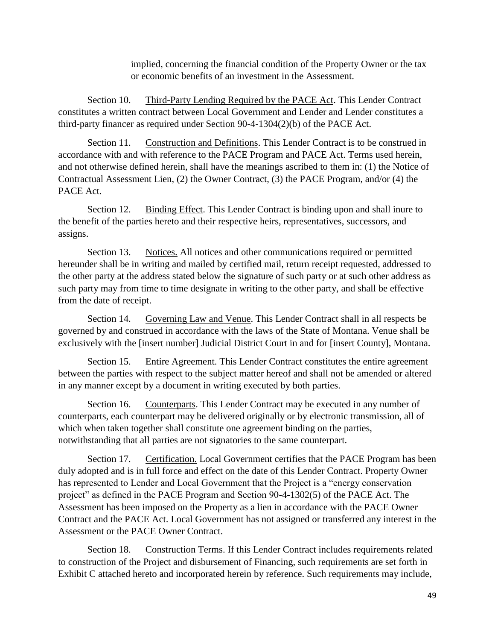implied, concerning the financial condition of the Property Owner or the tax or economic benefits of an investment in the Assessment.

Section 10. Third-Party Lending Required by the PACE Act. This Lender Contract constitutes a written contract between Local Government and Lender and Lender constitutes a third-party financer as required under Section 90-4-1304(2)(b) of the PACE Act.

Section 11. Construction and Definitions. This Lender Contract is to be construed in accordance with and with reference to the PACE Program and PACE Act. Terms used herein, and not otherwise defined herein, shall have the meanings ascribed to them in: (1) the Notice of Contractual Assessment Lien, (2) the Owner Contract, (3) the PACE Program, and/or (4) the PACE Act.

Section 12. Binding Effect. This Lender Contract is binding upon and shall inure to the benefit of the parties hereto and their respective heirs, representatives, successors, and assigns.

Section 13. Notices. All notices and other communications required or permitted hereunder shall be in writing and mailed by certified mail, return receipt requested, addressed to the other party at the address stated below the signature of such party or at such other address as such party may from time to time designate in writing to the other party, and shall be effective from the date of receipt.

Section 14. Governing Law and Venue. This Lender Contract shall in all respects be governed by and construed in accordance with the laws of the State of Montana. Venue shall be exclusively with the [insert number] Judicial District Court in and for [insert County], Montana.

Section 15. Entire Agreement. This Lender Contract constitutes the entire agreement between the parties with respect to the subject matter hereof and shall not be amended or altered in any manner except by a document in writing executed by both parties.

Section 16. Counterparts. This Lender Contract may be executed in any number of counterparts, each counterpart may be delivered originally or by electronic transmission, all of which when taken together shall constitute one agreement binding on the parties, notwithstanding that all parties are not signatories to the same counterpart.

Section 17. Certification. Local Government certifies that the PACE Program has been duly adopted and is in full force and effect on the date of this Lender Contract. Property Owner has represented to Lender and Local Government that the Project is a "energy conservation project" as defined in the PACE Program and Section 90-4-1302(5) of the PACE Act. The Assessment has been imposed on the Property as a lien in accordance with the PACE Owner Contract and the PACE Act. Local Government has not assigned or transferred any interest in the Assessment or the PACE Owner Contract.

Section 18. Construction Terms. If this Lender Contract includes requirements related to construction of the Project and disbursement of Financing, such requirements are set forth in Exhibit C attached hereto and incorporated herein by reference. Such requirements may include,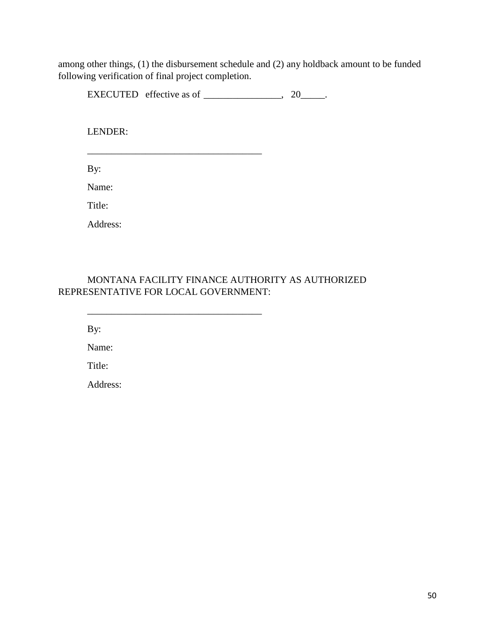among other things, (1) the disbursement schedule and (2) any holdback amount to be funded following verification of final project completion.

EXECUTED effective as of  $\_\_\_\_\_\_\_\$ , 20 $\_\_\_\_\_\$ .

LENDER:

\_\_\_\_\_\_\_\_\_\_\_\_\_\_\_\_\_\_\_\_\_\_\_\_\_\_\_\_\_\_\_\_\_\_\_\_

\_\_\_\_\_\_\_\_\_\_\_\_\_\_\_\_\_\_\_\_\_\_\_\_\_\_\_\_\_\_\_\_\_\_\_\_

By:

Name:

Title:

Address:

MONTANA FACILITY FINANCE AUTHORITY AS AUTHORIZED REPRESENTATIVE FOR LOCAL GOVERNMENT:

By:

Name:

Title:

Address: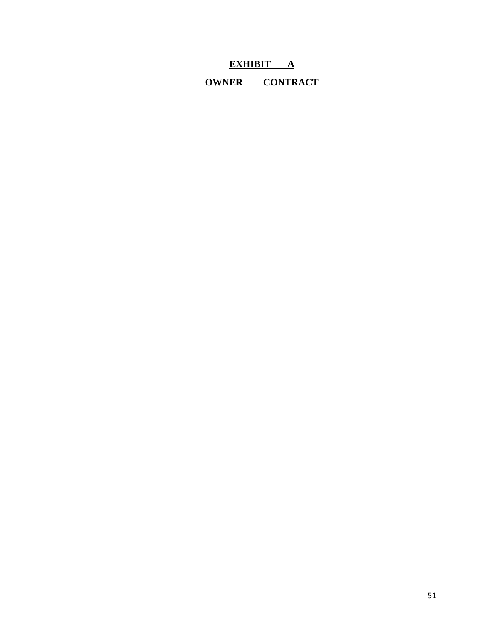### **EXHIBIT A**

**OWNER CONTRACT**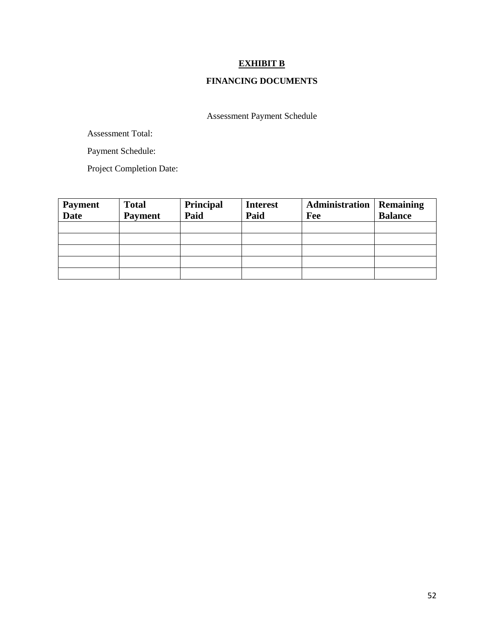#### **EXHIBIT B**

#### **FINANCING DOCUMENTS**

Assessment Payment Schedule

Assessment Total:

Payment Schedule:

Project Completion Date:

| <b>Payment</b><br><b>Date</b> | <b>Total</b><br><b>Payment</b> | Principal<br>Paid | <b>Interest</b><br>Paid | Administration<br>Fee | <b>Remaining</b><br><b>Balance</b> |
|-------------------------------|--------------------------------|-------------------|-------------------------|-----------------------|------------------------------------|
|                               |                                |                   |                         |                       |                                    |
|                               |                                |                   |                         |                       |                                    |
|                               |                                |                   |                         |                       |                                    |
|                               |                                |                   |                         |                       |                                    |
|                               |                                |                   |                         |                       |                                    |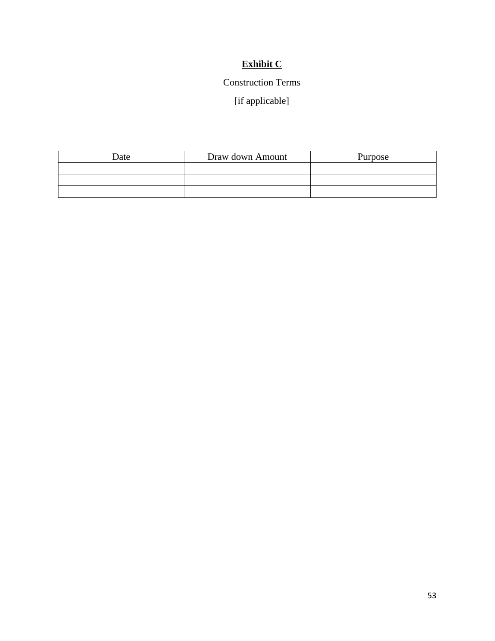### **Exhibit C**

#### Construction Terms

[if applicable]

| Date | Draw down Amount | Purpose |
|------|------------------|---------|
|      |                  |         |
|      |                  |         |
|      |                  |         |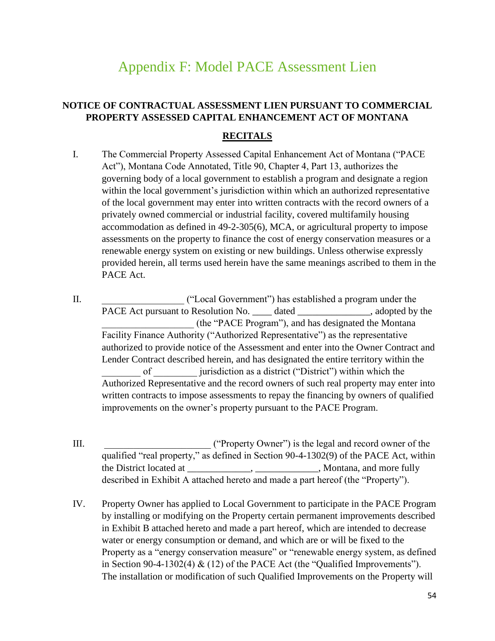## Appendix F: Model PACE Assessment Lien

#### <span id="page-53-0"></span>**NOTICE OF CONTRACTUAL ASSESSMENT LIEN PURSUANT TO COMMERCIAL PROPERTY ASSESSED CAPITAL ENHANCEMENT ACT OF MONTANA**

#### **RECITALS**

- I. The Commercial Property Assessed Capital Enhancement Act of Montana ("PACE Act"), Montana Code Annotated, Title 90, Chapter 4, Part 13, authorizes the governing body of a local government to establish a program and designate a region within the local government's jurisdiction within which an authorized representative of the local government may enter into written contracts with the record owners of a privately owned commercial or industrial facility, covered multifamily housing accommodation as defined in 49-2-305(6), MCA, or agricultural property to impose assessments on the property to finance the cost of energy conservation measures or a renewable energy system on existing or new buildings. Unless otherwise expressly provided herein, all terms used herein have the same meanings ascribed to them in the PACE Act.
- II. \_\_\_\_\_\_\_\_\_\_\_\_\_\_\_\_\_ ("Local Government") has established a program under the PACE Act pursuant to Resolution No. dated a set adopted by the set of  $\mathbb{R}^2$ . \_\_\_\_\_\_\_\_\_\_\_\_\_\_\_\_\_\_\_ (the "PACE Program"), and has designated the Montana Facility Finance Authority ("Authorized Representative") as the representative authorized to provide notice of the Assessment and enter into the Owner Contract and Lender Contract described herein, and has designated the entire territory within the of **interest in the unitary is a district** ("District") within which the Authorized Representative and the record owners of such real property may enter into written contracts to impose assessments to repay the financing by owners of qualified improvements on the owner's property pursuant to the PACE Program.
- III. **III.** ("Property Owner") is the legal and record owner of the qualified "real property," as defined in Section 90-4-1302(9) of the PACE Act, within the District located at \_\_\_\_\_\_\_\_\_\_\_\_, \_\_\_\_\_\_\_\_, Montana, and more fully described in Exhibit A attached hereto and made a part hereof (the "Property").
- IV. Property Owner has applied to Local Government to participate in the PACE Program by installing or modifying on the Property certain permanent improvements described in Exhibit B attached hereto and made a part hereof, which are intended to decrease water or energy consumption or demand, and which are or will be fixed to the Property as a "energy conservation measure" or "renewable energy system, as defined in Section 90-4-1302(4)  $\&$  (12) of the PACE Act (the "Qualified Improvements"). The installation or modification of such Qualified Improvements on the Property will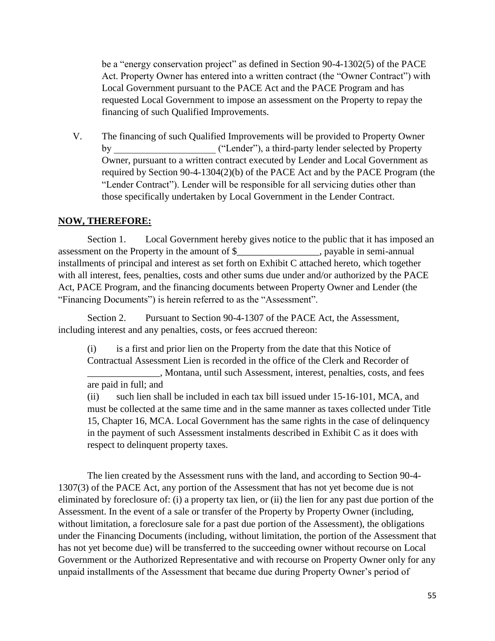be a "energy conservation project" as defined in Section 90-4-1302(5) of the PACE Act. Property Owner has entered into a written contract (the "Owner Contract") with Local Government pursuant to the PACE Act and the PACE Program and has requested Local Government to impose an assessment on the Property to repay the financing of such Qualified Improvements.

V. The financing of such Qualified Improvements will be provided to Property Owner by ("Lender"), a third-party lender selected by Property Owner, pursuant to a written contract executed by Lender and Local Government as required by Section 90-4-1304(2)(b) of the PACE Act and by the PACE Program (the "Lender Contract"). Lender will be responsible for all servicing duties other than those specifically undertaken by Local Government in the Lender Contract.

#### **NOW, THEREFORE:**

Section 1. Local Government hereby gives notice to the public that it has imposed an assessment on the Property in the amount of \$ . payable in semi-annual installments of principal and interest as set forth on Exhibit C attached hereto, which together with all interest, fees, penalties, costs and other sums due under and/or authorized by the PACE Act, PACE Program, and the financing documents between Property Owner and Lender (the "Financing Documents") is herein referred to as the "Assessment".

Section 2. Pursuant to Section 90-4-1307 of the PACE Act, the Assessment, including interest and any penalties, costs, or fees accrued thereon:

(i) is a first and prior lien on the Property from the date that this Notice of Contractual Assessment Lien is recorded in the office of the Clerk and Recorder of \_\_\_\_\_\_\_\_\_\_\_\_\_\_\_, Montana, until such Assessment, interest, penalties, costs, and fees are paid in full; and

(ii) such lien shall be included in each tax bill issued under 15-16-101, MCA, and must be collected at the same time and in the same manner as taxes collected under Title 15, Chapter 16, MCA. Local Government has the same rights in the case of delinquency in the payment of such Assessment instalments described in Exhibit C as it does with respect to delinquent property taxes.

The lien created by the Assessment runs with the land, and according to Section 90-4- 1307(3) of the PACE Act, any portion of the Assessment that has not yet become due is not eliminated by foreclosure of: (i) a property tax lien, or (ii) the lien for any past due portion of the Assessment. In the event of a sale or transfer of the Property by Property Owner (including, without limitation, a foreclosure sale for a past due portion of the Assessment), the obligations under the Financing Documents (including, without limitation, the portion of the Assessment that has not yet become due) will be transferred to the succeeding owner without recourse on Local Government or the Authorized Representative and with recourse on Property Owner only for any unpaid installments of the Assessment that became due during Property Owner's period of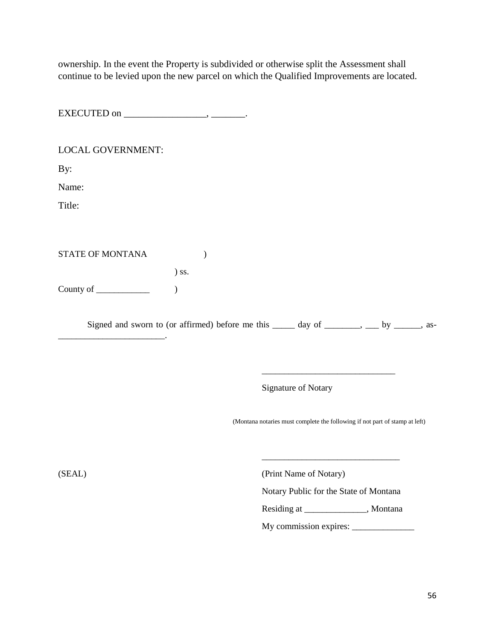ownership. In the event the Property is subdivided or otherwise split the Assessment shall continue to be levied upon the new parcel on which the Qualified Improvements are located.

EXECUTED on \_\_\_\_\_\_\_\_\_\_\_\_\_\_\_\_\_\_\_\_\_, \_\_\_\_\_\_\_\_.

#### LOCAL GOVERNMENT:

By:

Name:

Title:

STATE OF MONTANA (1)

) ss.

County of \_\_\_\_\_\_\_\_\_\_\_\_ )

\_\_\_\_\_\_\_\_\_\_\_\_\_\_\_\_\_\_\_\_\_\_\_\_.

Signed and sworn to (or affirmed) before me this  $\_\_\_\_$  day of  $\_\_\_\_\_\_\_\_$  by  $\_\_\_\_\_$ , as-

Signature of Notary

(Montana notaries must complete the following if not part of stamp at left)

\_\_\_\_\_\_\_\_\_\_\_\_\_\_\_\_\_\_\_\_\_\_\_\_\_\_\_\_\_\_\_

\_\_\_\_\_\_\_\_\_\_\_\_\_\_\_\_\_\_\_\_\_\_\_\_\_\_\_\_\_\_

(SEAL) (Print Name of Notary)

Notary Public for the State of Montana

Residing at \_\_\_\_\_\_\_\_\_\_\_\_\_\_, Montana

My commission expires: \_\_\_\_\_\_\_\_\_\_\_\_\_\_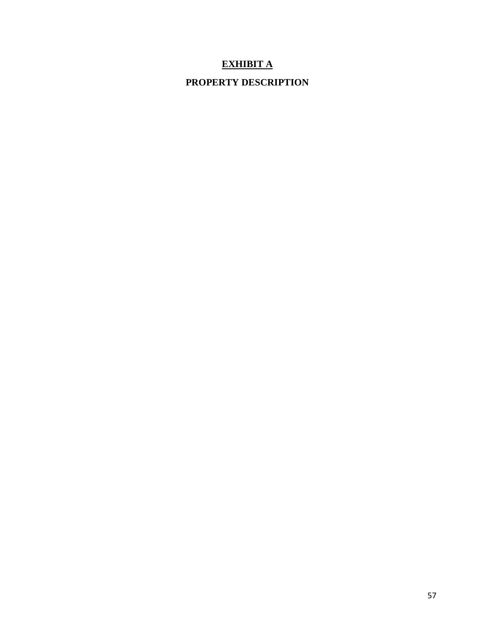#### **EXHIBIT A**

#### **PROPERTY DESCRIPTION**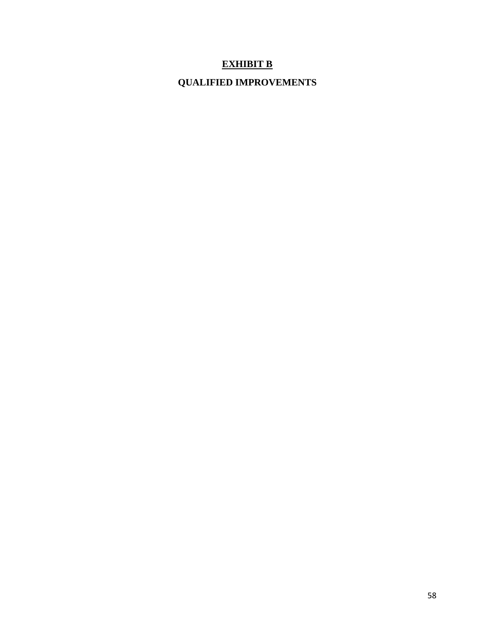#### **EXHIBIT B**

### **QUALIFIED IMPROVEMENTS**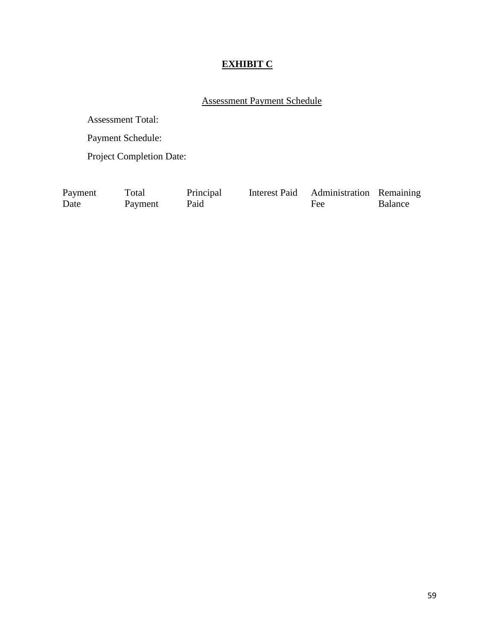### **EXHIBIT C**

#### Assessment Payment Schedule

Assessment Total:

Payment Schedule:

Project Completion Date:

Total

Payment Date

Payment Paid

Principal

Fee

Interest Paid Administration Remaining Balance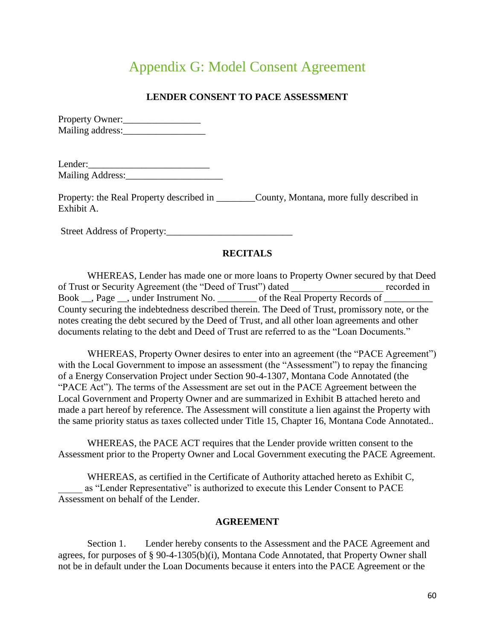# Appendix G: Model Consent Agreement

#### **LENDER CONSENT TO PACE ASSESSMENT**

<span id="page-59-0"></span>Property Owner:\_\_\_\_\_\_\_\_\_\_\_\_\_\_\_\_ Mailing address:

| Lender:          |  |
|------------------|--|
| Mailing Address: |  |

Property: the Real Property described in \_\_\_\_\_\_\_\_County, Montana, more fully described in Exhibit A.

Street Address of Property:\_\_\_\_\_\_\_\_\_\_\_\_\_\_\_\_\_\_\_\_\_\_\_\_\_\_

#### **RECITALS**

WHEREAS, Lender has made one or more loans to Property Owner secured by that Deed of Trust or Security Agreement (the "Deed of Trust") dated recorded in Book \_\_, Page \_\_, under Instrument No. \_\_\_\_\_\_\_\_\_\_ of the Real Property Records of \_\_\_\_\_\_\_\_\_\_\_\_\_\_\_\_\_\_ County securing the indebtedness described therein. The Deed of Trust, promissory note, or the notes creating the debt secured by the Deed of Trust, and all other loan agreements and other documents relating to the debt and Deed of Trust are referred to as the "Loan Documents."

WHEREAS, Property Owner desires to enter into an agreement (the "PACE Agreement") with the Local Government to impose an assessment (the "Assessment") to repay the financing of a Energy Conservation Project under Section 90-4-1307, Montana Code Annotated (the "PACE Act"). The terms of the Assessment are set out in the PACE Agreement between the Local Government and Property Owner and are summarized in Exhibit B attached hereto and made a part hereof by reference. The Assessment will constitute a lien against the Property with the same priority status as taxes collected under Title 15, Chapter 16, Montana Code Annotated..

WHEREAS, the PACE ACT requires that the Lender provide written consent to the Assessment prior to the Property Owner and Local Government executing the PACE Agreement.

WHEREAS, as certified in the Certificate of Authority attached hereto as Exhibit C, \_\_\_\_\_ as "Lender Representative" is authorized to execute this Lender Consent to PACE Assessment on behalf of the Lender.

#### **AGREEMENT**

Section 1. Lender hereby consents to the Assessment and the PACE Agreement and agrees, for purposes of § 90-4-1305(b)(i), Montana Code Annotated, that Property Owner shall not be in default under the Loan Documents because it enters into the PACE Agreement or the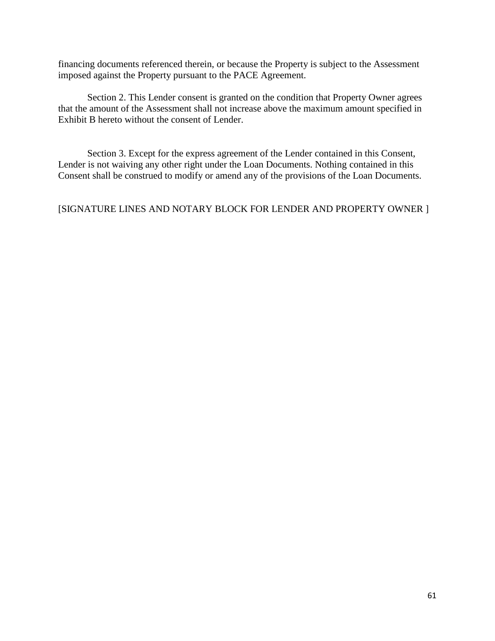financing documents referenced therein, or because the Property is subject to the Assessment imposed against the Property pursuant to the PACE Agreement.

Section 2. This Lender consent is granted on the condition that Property Owner agrees that the amount of the Assessment shall not increase above the maximum amount specified in Exhibit B hereto without the consent of Lender.

Section 3. Except for the express agreement of the Lender contained in this Consent, Lender is not waiving any other right under the Loan Documents. Nothing contained in this Consent shall be construed to modify or amend any of the provisions of the Loan Documents.

[SIGNATURE LINES AND NOTARY BLOCK FOR LENDER AND PROPERTY OWNER ]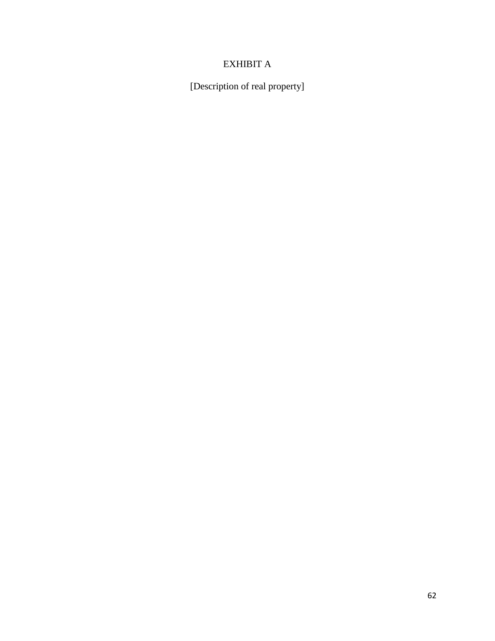#### EXHIBIT A

[Description of real property]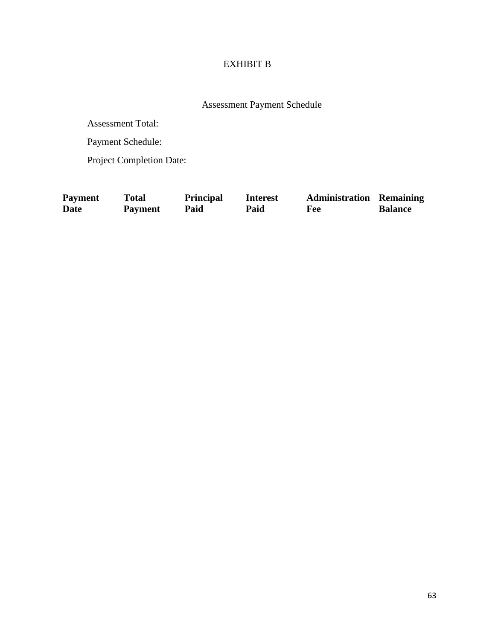#### EXHIBIT B

Assessment Payment Schedule

Assessment Total:

Payment Schedule:

Project Completion Date:

| Payment | Total          | <b>Principal</b> | <b>Interest</b> | <b>Administration Remaining</b> |                |
|---------|----------------|------------------|-----------------|---------------------------------|----------------|
| Date    | <b>Payment</b> | Paid             | Paid            | <b>Fee</b>                      | <b>Balance</b> |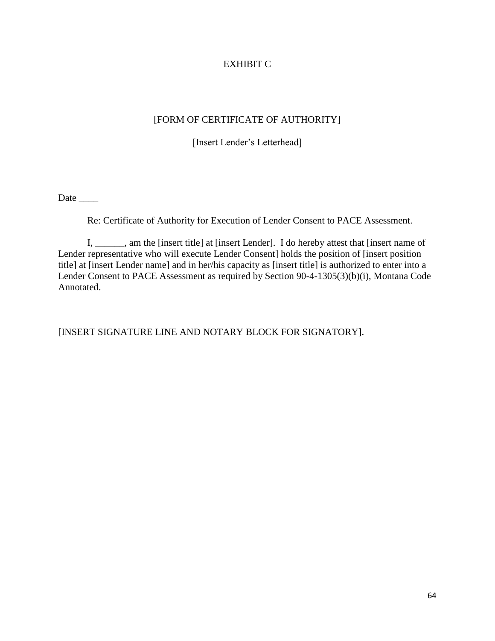#### EXHIBIT C

#### [FORM OF CERTIFICATE OF AUTHORITY]

[Insert Lender's Letterhead]

Date \_\_\_\_\_\_\_

Re: Certificate of Authority for Execution of Lender Consent to PACE Assessment.

I, \_\_\_\_\_\_, am the [insert title] at [insert Lender]. I do hereby attest that [insert name of Lender representative who will execute Lender Consent] holds the position of [insert position title] at [insert Lender name] and in her/his capacity as [insert title] is authorized to enter into a Lender Consent to PACE Assessment as required by Section 90-4-1305(3)(b)(i), Montana Code Annotated.

[INSERT SIGNATURE LINE AND NOTARY BLOCK FOR SIGNATORY].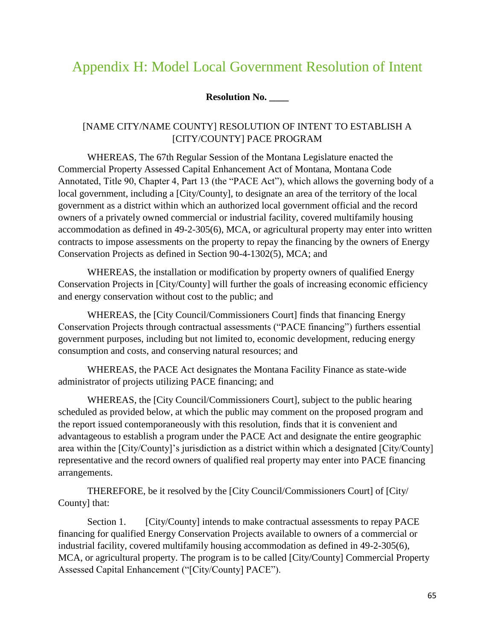## <span id="page-64-0"></span>Appendix H: Model Local Government Resolution of Intent

#### **Resolution No. \_\_\_\_**

#### [NAME CITY/NAME COUNTY] RESOLUTION OF INTENT TO ESTABLISH A [CITY/COUNTY] PACE PROGRAM

WHEREAS, The 67th Regular Session of the Montana Legislature enacted the Commercial Property Assessed Capital Enhancement Act of Montana, Montana Code Annotated, Title 90, Chapter 4, Part 13 (the "PACE Act"), which allows the governing body of a local government, including a [City/County], to designate an area of the territory of the local government as a district within which an authorized local government official and the record owners of a privately owned commercial or industrial facility, covered multifamily housing accommodation as defined in 49-2-305(6), MCA, or agricultural property may enter into written contracts to impose assessments on the property to repay the financing by the owners of Energy Conservation Projects as defined in Section 90-4-1302(5), MCA; and

WHEREAS, the installation or modification by property owners of qualified Energy Conservation Projects in [City/County] will further the goals of increasing economic efficiency and energy conservation without cost to the public; and

WHEREAS, the [City Council/Commissioners Court] finds that financing Energy Conservation Projects through contractual assessments ("PACE financing") furthers essential government purposes, including but not limited to, economic development, reducing energy consumption and costs, and conserving natural resources; and

WHEREAS, the PACE Act designates the Montana Facility Finance as state-wide administrator of projects utilizing PACE financing; and

WHEREAS, the [City Council/Commissioners Court], subject to the public hearing scheduled as provided below, at which the public may comment on the proposed program and the report issued contemporaneously with this resolution, finds that it is convenient and advantageous to establish a program under the PACE Act and designate the entire geographic area within the [City/County]'s jurisdiction as a district within which a designated [City/County] representative and the record owners of qualified real property may enter into PACE financing arrangements.

THEREFORE, be it resolved by the [City Council/Commissioners Court] of [City/ County] that:

Section 1. [City/County] intends to make contractual assessments to repay PACE financing for qualified Energy Conservation Projects available to owners of a commercial or industrial facility, covered multifamily housing accommodation as defined in 49-2-305(6), MCA, or agricultural property. The program is to be called [City/County] Commercial Property Assessed Capital Enhancement ("[City/County] PACE").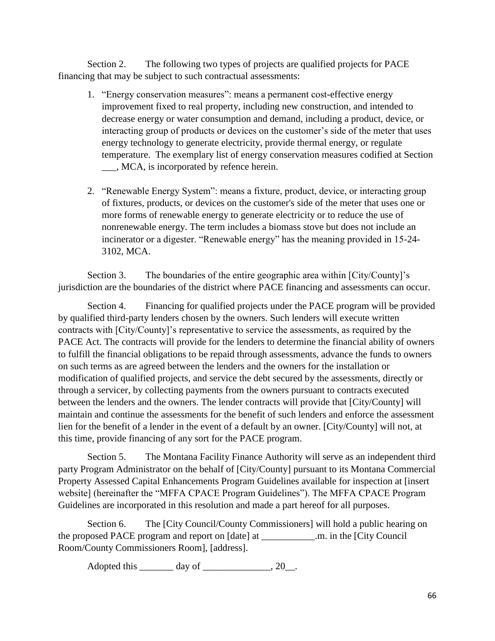Section 2. The following two types of projects are qualified projects for PACE financing that may be subject to such contractual assessments:

- 1. "Energy conservation measures": means a permanent cost-effective energy improvement fixed to real property, including new construction, and intended to decrease energy or water consumption and demand, including a product, device, or interacting group of products or devices on the customer's side of the meter that uses energy technology to generate electricity, provide thermal energy, or regulate temperature. The exemplary list of energy conservation measures codified at Section \_\_\_, MCA, is incorporated by refence herein.
- 2. "Renewable Energy System": means a fixture, product, device, or interacting group of fixtures, products, or devices on the customer's side of the meter that uses one or more forms of renewable energy to generate electricity or to reduce the use of nonrenewable energy. The term includes a biomass stove but does not include an incinerator or a digester. "Renewable energy" has the meaning provided in 15-24- 3102, MCA.

Section 3. The boundaries of the entire geographic area within [City/County]'s jurisdiction are the boundaries of the district where PACE financing and assessments can occur.

Section 4. Financing for qualified projects under the PACE program will be provided by qualified third-party lenders chosen by the owners. Such lenders will execute written contracts with [City/County]'s representative to service the assessments, as required by the PACE Act. The contracts will provide for the lenders to determine the financial ability of owners to fulfill the financial obligations to be repaid through assessments, advance the funds to owners on such terms as are agreed between the lenders and the owners for the installation or modification of qualified projects, and service the debt secured by the assessments, directly or through a servicer, by collecting payments from the owners pursuant to contracts executed between the lenders and the owners. The lender contracts will provide that [City/County] will maintain and continue the assessments for the benefit of such lenders and enforce the assessment lien for the benefit of a lender in the event of a default by an owner. [City/County] will not, at this time, provide financing of any sort for the PACE program.

Section 5. The Montana Facility Finance Authority will serve as an independent third party Program Administrator on the behalf of [City/County] pursuant to its Montana Commercial Property Assessed Capital Enhancements Program Guidelines available for inspection at [insert website] (hereinafter the "MFFA CPACE Program Guidelines"). The MFFA CPACE Program Guidelines are incorporated in this resolution and made a part hereof for all purposes.

Section 6. The [City Council/County Commissioners] will hold a public hearing on the proposed PACE program and report on [date] at \_\_\_\_\_\_\_\_\_\_\_.m. in the [City Council Room/County Commissioners Room], [address].

Adopted this  $\qquad \qquad \text{day of} \qquad \qquad .20 \qquad .$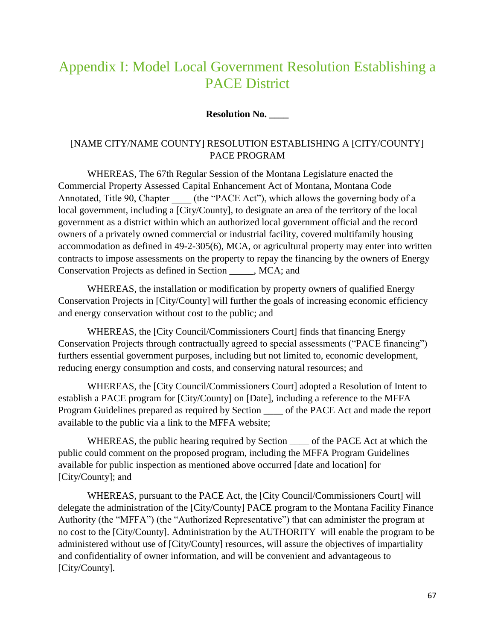## <span id="page-66-0"></span>Appendix I: Model Local Government Resolution Establishing a PACE District

#### **Resolution No. \_\_\_\_**

#### [NAME CITY/NAME COUNTY] RESOLUTION ESTABLISHING A [CITY/COUNTY] PACE PROGRAM

WHEREAS, The 67th Regular Session of the Montana Legislature enacted the Commercial Property Assessed Capital Enhancement Act of Montana, Montana Code Annotated, Title 90, Chapter (the "PACE Act"), which allows the governing body of a local government, including a [City/County], to designate an area of the territory of the local government as a district within which an authorized local government official and the record owners of a privately owned commercial or industrial facility, covered multifamily housing accommodation as defined in 49-2-305(6), MCA, or agricultural property may enter into written contracts to impose assessments on the property to repay the financing by the owners of Energy Conservation Projects as defined in Section \_\_\_\_\_, MCA; and

WHEREAS, the installation or modification by property owners of qualified Energy Conservation Projects in [City/County] will further the goals of increasing economic efficiency and energy conservation without cost to the public; and

WHEREAS, the [City Council/Commissioners Court] finds that financing Energy Conservation Projects through contractually agreed to special assessments ("PACE financing") furthers essential government purposes, including but not limited to, economic development, reducing energy consumption and costs, and conserving natural resources; and

WHEREAS, the [City Council/Commissioners Court] adopted a Resolution of Intent to establish a PACE program for [City/County] on [Date], including a reference to the MFFA Program Guidelines prepared as required by Section of the PACE Act and made the report available to the public via a link to the MFFA website;

WHEREAS, the public hearing required by Section of the PACE Act at which the public could comment on the proposed program, including the MFFA Program Guidelines available for public inspection as mentioned above occurred [date and location] for [City/County]; and

WHEREAS, pursuant to the PACE Act, the [City Council/Commissioners Court] will delegate the administration of the [City/County] PACE program to the Montana Facility Finance Authority (the "MFFA") (the "Authorized Representative") that can administer the program at no cost to the [City/County]. Administration by the AUTHORITY will enable the program to be administered without use of [City/County] resources, will assure the objectives of impartiality and confidentiality of owner information, and will be convenient and advantageous to [City/County].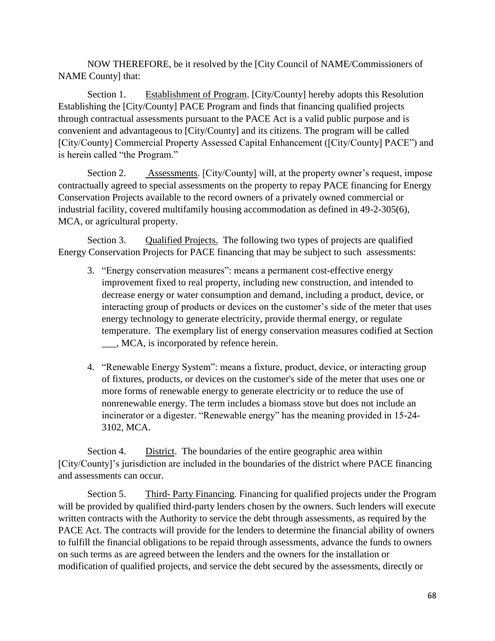NOW THEREFORE, be it resolved by the [City Council of NAME/Commissioners of NAME County] that:

Section 1. Establishment of Program. [City/County] hereby adopts this Resolution Establishing the [City/County] PACE Program and finds that financing qualified projects through contractual assessments pursuant to the PACE Act is a valid public purpose and is convenient and advantageous to [City/County] and its citizens. The program will be called [City/County] Commercial Property Assessed Capital Enhancement ([City/County] PACE") and is herein called "the Program."

Section 2. Assessments. [City/County] will, at the property owner's request, impose contractually agreed to special assessments on the property to repay PACE financing for Energy Conservation Projects available to the record owners of a privately owned commercial or industrial facility, covered multifamily housing accommodation as defined in 49-2-305(6), MCA, or agricultural property.

Section 3. Qualified Projects. The following two types of projects are qualified Energy Conservation Projects for PACE financing that may be subject to such assessments:

- 3. "Energy conservation measures": means a permanent cost-effective energy improvement fixed to real property, including new construction, and intended to decrease energy or water consumption and demand, including a product, device, or interacting group of products or devices on the customer's side of the meter that uses energy technology to generate electricity, provide thermal energy, or regulate temperature. The exemplary list of energy conservation measures codified at Section \_\_\_, MCA, is incorporated by refence herein.
- 4. "Renewable Energy System": means a fixture, product, device, or interacting group of fixtures, products, or devices on the customer's side of the meter that uses one or more forms of renewable energy to generate electricity or to reduce the use of nonrenewable energy. The term includes a biomass stove but does not include an incinerator or a digester. "Renewable energy" has the meaning provided in 15-24- 3102, MCA.

Section 4. District. The boundaries of the entire geographic area within [City/County]'s jurisdiction are included in the boundaries of the district where PACE financing and assessments can occur.

Section 5. Third- Party Financing. Financing for qualified projects under the Program will be provided by qualified third-party lenders chosen by the owners. Such lenders will execute written contracts with the Authority to service the debt through assessments, as required by the PACE Act. The contracts will provide for the lenders to determine the financial ability of owners to fulfill the financial obligations to be repaid through assessments, advance the funds to owners on such terms as are agreed between the lenders and the owners for the installation or modification of qualified projects, and service the debt secured by the assessments, directly or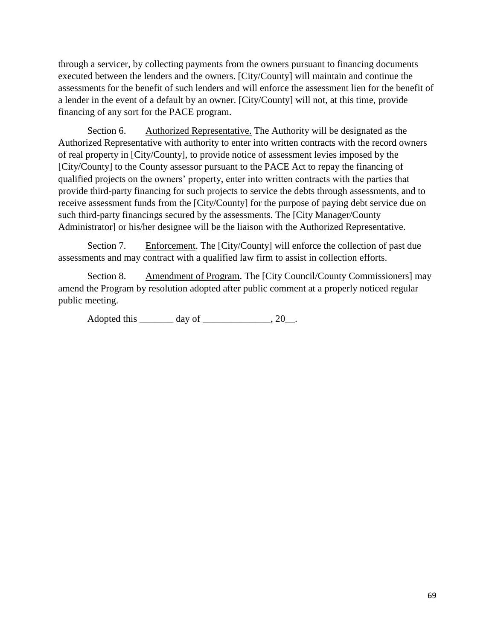through a servicer, by collecting payments from the owners pursuant to financing documents executed between the lenders and the owners. [City/County] will maintain and continue the assessments for the benefit of such lenders and will enforce the assessment lien for the benefit of a lender in the event of a default by an owner. [City/County] will not, at this time, provide financing of any sort for the PACE program.

Section 6. Authorized Representative. The Authority will be designated as the Authorized Representative with authority to enter into written contracts with the record owners of real property in [City/County], to provide notice of assessment levies imposed by the [City/County] to the County assessor pursuant to the PACE Act to repay the financing of qualified projects on the owners' property, enter into written contracts with the parties that provide third-party financing for such projects to service the debts through assessments, and to receive assessment funds from the [City/County] for the purpose of paying debt service due on such third-party financings secured by the assessments. The [City Manager/County Administrator] or his/her designee will be the liaison with the Authorized Representative.

Section 7. Enforcement. The [City/County] will enforce the collection of past due assessments and may contract with a qualified law firm to assist in collection efforts.

Section 8. Amendment of Program. The [City Council/County Commissioners] may amend the Program by resolution adopted after public comment at a properly noticed regular public meeting.

Adopted this \_\_\_\_\_\_\_\_ day of \_\_\_\_\_\_\_\_\_\_\_\_\_\_, 20 .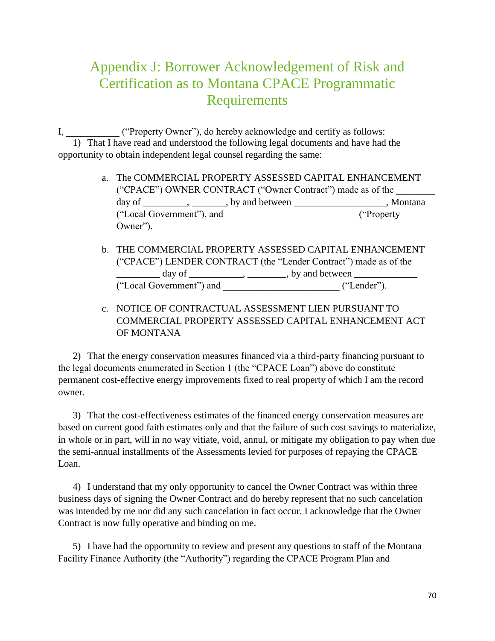## <span id="page-69-0"></span>Appendix J: Borrower Acknowledgement of Risk and Certification as to Montana CPACE Programmatic Requirements

I, \_\_\_\_\_\_\_\_\_\_\_ ("Property Owner"), do hereby acknowledge and certify as follows: 1) That I have read and understood the following legal documents and have had the opportunity to obtain independent legal counsel regarding the same:

- a. The COMMERCIAL PROPERTY ASSESSED CAPITAL ENHANCEMENT ("CPACE") OWNER CONTRACT ("Owner Contract") made as of the \_\_\_\_\_\_\_\_ day of  $\frac{1}{\sqrt{2}}$ ,  $\frac{1}{\sqrt{2}}$ , by and between  $\frac{1}{\sqrt{2}}$ , Montana ("Local Government"), and \_\_\_\_\_\_\_\_\_\_\_\_\_\_\_\_\_\_\_\_\_\_\_\_\_\_\_ ("Property Owner").
- b. THE COMMERCIAL PROPERTY ASSESSED CAPITAL ENHANCEMENT ("CPACE") LENDER CONTRACT (the "Lender Contract") made as of the \_\_\_\_\_\_\_\_\_ day of \_\_\_\_\_\_\_\_\_\_\_, \_\_\_\_\_\_\_\_, by and between \_\_\_\_\_\_\_\_\_\_\_\_\_ ("Local Government") and \_\_\_\_\_\_\_\_\_\_\_\_\_\_\_\_\_\_\_\_\_\_\_\_ ("Lender").
- c. NOTICE OF CONTRACTUAL ASSESSMENT LIEN PURSUANT TO COMMERCIAL PROPERTY ASSESSED CAPITAL ENHANCEMENT ACT OF MONTANA

2) That the energy conservation measures financed via a third-party financing pursuant to the legal documents enumerated in Section 1 (the "CPACE Loan") above do constitute permanent cost-effective energy improvements fixed to real property of which I am the record owner.

3) That the cost-effectiveness estimates of the financed energy conservation measures are based on current good faith estimates only and that the failure of such cost savings to materialize, in whole or in part, will in no way vitiate, void, annul, or mitigate my obligation to pay when due the semi-annual installments of the Assessments levied for purposes of repaying the CPACE Loan.

4) I understand that my only opportunity to cancel the Owner Contract was within three business days of signing the Owner Contract and do hereby represent that no such cancelation was intended by me nor did any such cancelation in fact occur. I acknowledge that the Owner Contract is now fully operative and binding on me.

5) I have had the opportunity to review and present any questions to staff of the Montana Facility Finance Authority (the "Authority") regarding the CPACE Program Plan and